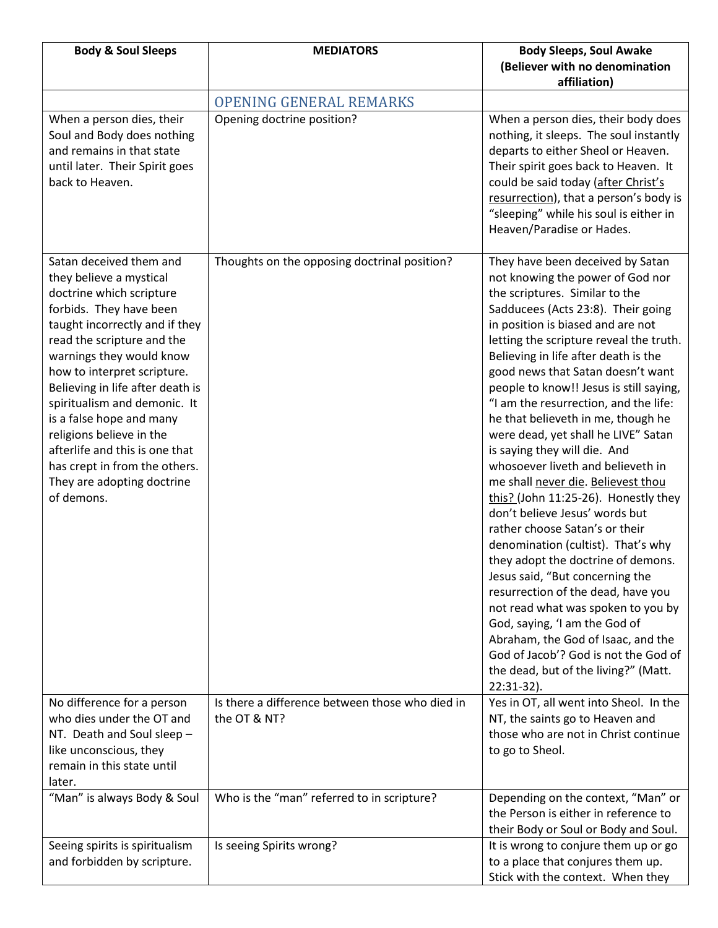| <b>Body &amp; Soul Sleeps</b>                                                                                                                                                                                                                                                                                                                                                                                                                                                   | <b>MEDIATORS</b>                                                | <b>Body Sleeps, Soul Awake</b>                                                                                                                                                                                                                                                                                                                                                                                                                                                                                                                                                                                                                                                                                                                                                                                                                                                                                                                                                                                                                                       |
|---------------------------------------------------------------------------------------------------------------------------------------------------------------------------------------------------------------------------------------------------------------------------------------------------------------------------------------------------------------------------------------------------------------------------------------------------------------------------------|-----------------------------------------------------------------|----------------------------------------------------------------------------------------------------------------------------------------------------------------------------------------------------------------------------------------------------------------------------------------------------------------------------------------------------------------------------------------------------------------------------------------------------------------------------------------------------------------------------------------------------------------------------------------------------------------------------------------------------------------------------------------------------------------------------------------------------------------------------------------------------------------------------------------------------------------------------------------------------------------------------------------------------------------------------------------------------------------------------------------------------------------------|
|                                                                                                                                                                                                                                                                                                                                                                                                                                                                                 |                                                                 | (Believer with no denomination<br>affiliation)                                                                                                                                                                                                                                                                                                                                                                                                                                                                                                                                                                                                                                                                                                                                                                                                                                                                                                                                                                                                                       |
|                                                                                                                                                                                                                                                                                                                                                                                                                                                                                 | <b>OPENING GENERAL REMARKS</b>                                  |                                                                                                                                                                                                                                                                                                                                                                                                                                                                                                                                                                                                                                                                                                                                                                                                                                                                                                                                                                                                                                                                      |
| When a person dies, their<br>Soul and Body does nothing<br>and remains in that state<br>until later. Their Spirit goes<br>back to Heaven.                                                                                                                                                                                                                                                                                                                                       | Opening doctrine position?                                      | When a person dies, their body does<br>nothing, it sleeps. The soul instantly<br>departs to either Sheol or Heaven.<br>Their spirit goes back to Heaven. It<br>could be said today (after Christ's<br>resurrection), that a person's body is<br>"sleeping" while his soul is either in<br>Heaven/Paradise or Hades.                                                                                                                                                                                                                                                                                                                                                                                                                                                                                                                                                                                                                                                                                                                                                  |
| Satan deceived them and<br>they believe a mystical<br>doctrine which scripture<br>forbids. They have been<br>taught incorrectly and if they<br>read the scripture and the<br>warnings they would know<br>how to interpret scripture.<br>Believing in life after death is<br>spiritualism and demonic. It<br>is a false hope and many<br>religions believe in the<br>afterlife and this is one that<br>has crept in from the others.<br>They are adopting doctrine<br>of demons. | Thoughts on the opposing doctrinal position?                    | They have been deceived by Satan<br>not knowing the power of God nor<br>the scriptures. Similar to the<br>Sadducees (Acts 23:8). Their going<br>in position is biased and are not<br>letting the scripture reveal the truth.<br>Believing in life after death is the<br>good news that Satan doesn't want<br>people to know!! Jesus is still saying,<br>"I am the resurrection, and the life:<br>he that believeth in me, though he<br>were dead, yet shall he LIVE" Satan<br>is saying they will die. And<br>whosoever liveth and believeth in<br>me shall never die. Believest thou<br>this? (John 11:25-26). Honestly they<br>don't believe Jesus' words but<br>rather choose Satan's or their<br>denomination (cultist). That's why<br>they adopt the doctrine of demons.<br>Jesus said, "But concerning the<br>resurrection of the dead, have you<br>not read what was spoken to you by<br>God, saying, 'I am the God of<br>Abraham, the God of Isaac, and the<br>God of Jacob'? God is not the God of<br>the dead, but of the living?" (Matt.<br>$22:31-32$ ). |
| No difference for a person<br>who dies under the OT and<br>NT. Death and Soul sleep -<br>like unconscious, they<br>remain in this state until<br>later.                                                                                                                                                                                                                                                                                                                         | Is there a difference between those who died in<br>the OT & NT? | Yes in OT, all went into Sheol. In the<br>NT, the saints go to Heaven and<br>those who are not in Christ continue<br>to go to Sheol.                                                                                                                                                                                                                                                                                                                                                                                                                                                                                                                                                                                                                                                                                                                                                                                                                                                                                                                                 |
| "Man" is always Body & Soul                                                                                                                                                                                                                                                                                                                                                                                                                                                     | Who is the "man" referred to in scripture?                      | Depending on the context, "Man" or<br>the Person is either in reference to<br>their Body or Soul or Body and Soul.                                                                                                                                                                                                                                                                                                                                                                                                                                                                                                                                                                                                                                                                                                                                                                                                                                                                                                                                                   |
| Seeing spirits is spiritualism<br>and forbidden by scripture.                                                                                                                                                                                                                                                                                                                                                                                                                   | Is seeing Spirits wrong?                                        | It is wrong to conjure them up or go<br>to a place that conjures them up.<br>Stick with the context. When they                                                                                                                                                                                                                                                                                                                                                                                                                                                                                                                                                                                                                                                                                                                                                                                                                                                                                                                                                       |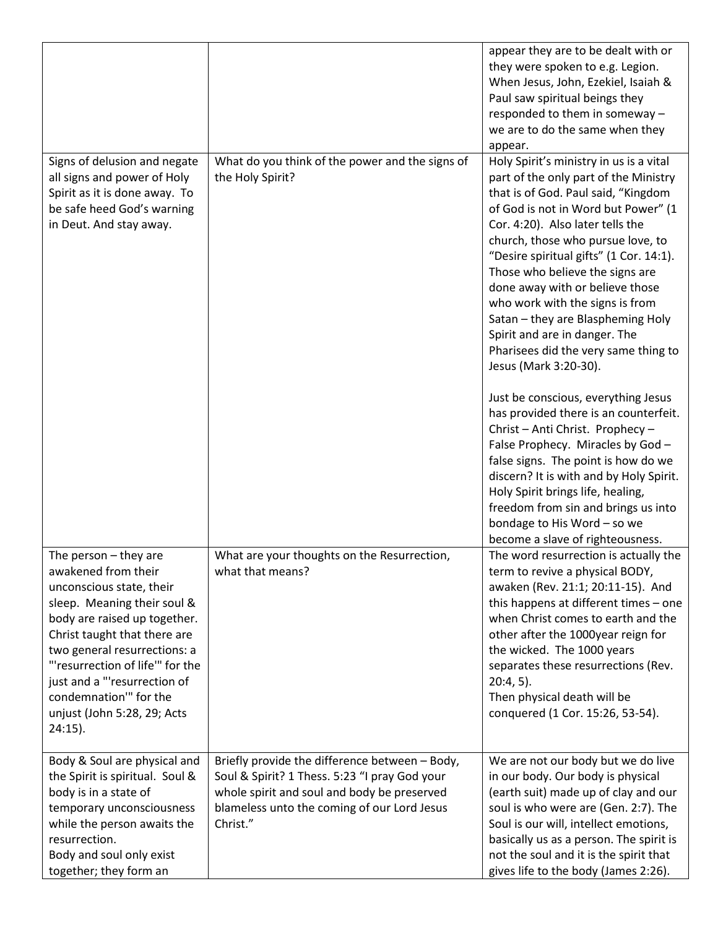|                                                                                                                                                                                                                                                                                                                                                     |                                                                                                                                                                                                           | appear they are to be dealt with or<br>they were spoken to e.g. Legion.<br>When Jesus, John, Ezekiel, Isaiah &<br>Paul saw spiritual beings they<br>responded to them in someway -<br>we are to do the same when they<br>appear.                                                                                                                                                                                                                                                                                                   |
|-----------------------------------------------------------------------------------------------------------------------------------------------------------------------------------------------------------------------------------------------------------------------------------------------------------------------------------------------------|-----------------------------------------------------------------------------------------------------------------------------------------------------------------------------------------------------------|------------------------------------------------------------------------------------------------------------------------------------------------------------------------------------------------------------------------------------------------------------------------------------------------------------------------------------------------------------------------------------------------------------------------------------------------------------------------------------------------------------------------------------|
| Signs of delusion and negate<br>all signs and power of Holy<br>Spirit as it is done away. To<br>be safe heed God's warning<br>in Deut. And stay away.                                                                                                                                                                                               | What do you think of the power and the signs of<br>the Holy Spirit?                                                                                                                                       | Holy Spirit's ministry in us is a vital<br>part of the only part of the Ministry<br>that is of God. Paul said, "Kingdom<br>of God is not in Word but Power" (1<br>Cor. 4:20). Also later tells the<br>church, those who pursue love, to<br>"Desire spiritual gifts" (1 Cor. 14:1).<br>Those who believe the signs are<br>done away with or believe those<br>who work with the signs is from<br>Satan - they are Blaspheming Holy<br>Spirit and are in danger. The<br>Pharisees did the very same thing to<br>Jesus (Mark 3:20-30). |
|                                                                                                                                                                                                                                                                                                                                                     |                                                                                                                                                                                                           | Just be conscious, everything Jesus<br>has provided there is an counterfeit.<br>Christ - Anti Christ. Prophecy -<br>False Prophecy. Miracles by God -<br>false signs. The point is how do we<br>discern? It is with and by Holy Spirit.<br>Holy Spirit brings life, healing,<br>freedom from sin and brings us into<br>bondage to His Word - so we<br>become a slave of righteousness.                                                                                                                                             |
| The person $-$ they are<br>awakened from their<br>unconscious state, their<br>sleep. Meaning their soul &<br>body are raised up together.<br>Christ taught that there are<br>two general resurrections: a<br>"'resurrection of life'" for the<br>just and a "'resurrection of<br>condemnation" for the<br>unjust (John 5:28, 29; Acts<br>$24:15$ ). | What are your thoughts on the Resurrection,<br>what that means?                                                                                                                                           | The word resurrection is actually the<br>term to revive a physical BODY,<br>awaken (Rev. 21:1; 20:11-15). And<br>this happens at different times - one<br>when Christ comes to earth and the<br>other after the 1000year reign for<br>the wicked. The 1000 years<br>separates these resurrections (Rev.<br>$20:4,5$ ).<br>Then physical death will be<br>conquered (1 Cor. 15:26, 53-54).                                                                                                                                          |
| Body & Soul are physical and<br>the Spirit is spiritual. Soul &<br>body is in a state of<br>temporary unconsciousness<br>while the person awaits the<br>resurrection.<br>Body and soul only exist<br>together; they form an                                                                                                                         | Briefly provide the difference between - Body,<br>Soul & Spirit? 1 Thess. 5:23 "I pray God your<br>whole spirit and soul and body be preserved<br>blameless unto the coming of our Lord Jesus<br>Christ." | We are not our body but we do live<br>in our body. Our body is physical<br>(earth suit) made up of clay and our<br>soul is who were are (Gen. 2:7). The<br>Soul is our will, intellect emotions,<br>basically us as a person. The spirit is<br>not the soul and it is the spirit that<br>gives life to the body (James 2:26).                                                                                                                                                                                                      |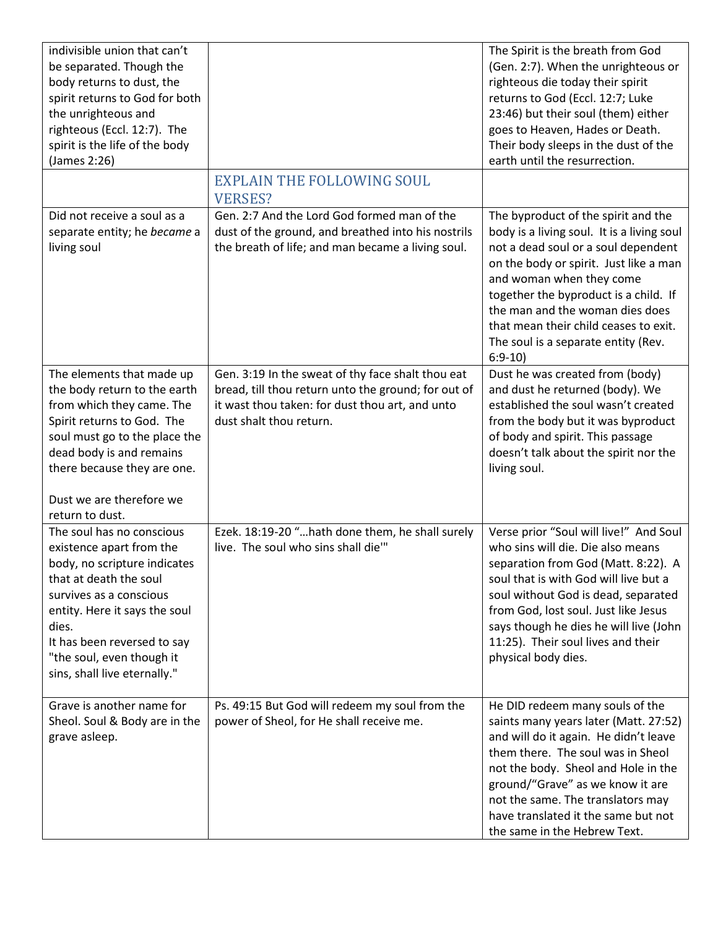| indivisible union that can't<br>be separated. Though the<br>body returns to dust, the<br>spirit returns to God for both<br>the unrighteous and<br>righteous (Eccl. 12:7). The<br>spirit is the life of the body<br>(James 2:26)                                                  |                                                                                                                                                                                        | The Spirit is the breath from God<br>(Gen. 2:7). When the unrighteous or<br>righteous die today their spirit<br>returns to God (Eccl. 12:7; Luke<br>23:46) but their soul (them) either<br>goes to Heaven, Hades or Death.<br>Their body sleeps in the dust of the<br>earth until the resurrection.                                                                    |
|----------------------------------------------------------------------------------------------------------------------------------------------------------------------------------------------------------------------------------------------------------------------------------|----------------------------------------------------------------------------------------------------------------------------------------------------------------------------------------|------------------------------------------------------------------------------------------------------------------------------------------------------------------------------------------------------------------------------------------------------------------------------------------------------------------------------------------------------------------------|
|                                                                                                                                                                                                                                                                                  | <b>EXPLAIN THE FOLLOWING SOUL</b><br><b>VERSES?</b>                                                                                                                                    |                                                                                                                                                                                                                                                                                                                                                                        |
| Did not receive a soul as a<br>separate entity; he became a<br>living soul                                                                                                                                                                                                       | Gen. 2:7 And the Lord God formed man of the<br>dust of the ground, and breathed into his nostrils<br>the breath of life; and man became a living soul.                                 | The byproduct of the spirit and the<br>body is a living soul. It is a living soul<br>not a dead soul or a soul dependent<br>on the body or spirit. Just like a man<br>and woman when they come<br>together the byproduct is a child. If<br>the man and the woman dies does<br>that mean their child ceases to exit.<br>The soul is a separate entity (Rev.<br>$6:9-10$ |
| The elements that made up<br>the body return to the earth<br>from which they came. The<br>Spirit returns to God. The<br>soul must go to the place the<br>dead body is and remains<br>there because they are one.<br>Dust we are therefore we<br>return to dust.                  | Gen. 3:19 In the sweat of thy face shalt thou eat<br>bread, till thou return unto the ground; for out of<br>it wast thou taken: for dust thou art, and unto<br>dust shalt thou return. | Dust he was created from (body)<br>and dust he returned (body). We<br>established the soul wasn't created<br>from the body but it was byproduct<br>of body and spirit. This passage<br>doesn't talk about the spirit nor the<br>living soul.                                                                                                                           |
| The soul has no conscious<br>existence apart from the<br>body, no scripture indicates<br>that at death the soul<br>survives as a conscious<br>entity. Here it says the soul<br>dies.<br>It has been reversed to say<br>"the soul, even though it<br>sins, shall live eternally." | Ezek. 18:19-20 "hath done them, he shall surely<br>live. The soul who sins shall die"                                                                                                  | Verse prior "Soul will live!" And Soul<br>who sins will die. Die also means<br>separation from God (Matt. 8:22). A<br>soul that is with God will live but a<br>soul without God is dead, separated<br>from God, lost soul. Just like Jesus<br>says though he dies he will live (John<br>11:25). Their soul lives and their<br>physical body dies.                      |
| Grave is another name for<br>Sheol. Soul & Body are in the<br>grave asleep.                                                                                                                                                                                                      | Ps. 49:15 But God will redeem my soul from the<br>power of Sheol, for He shall receive me.                                                                                             | He DID redeem many souls of the<br>saints many years later (Matt. 27:52)<br>and will do it again. He didn't leave<br>them there. The soul was in Sheol<br>not the body. Sheol and Hole in the<br>ground/"Grave" as we know it are<br>not the same. The translators may<br>have translated it the same but not<br>the same in the Hebrew Text.                          |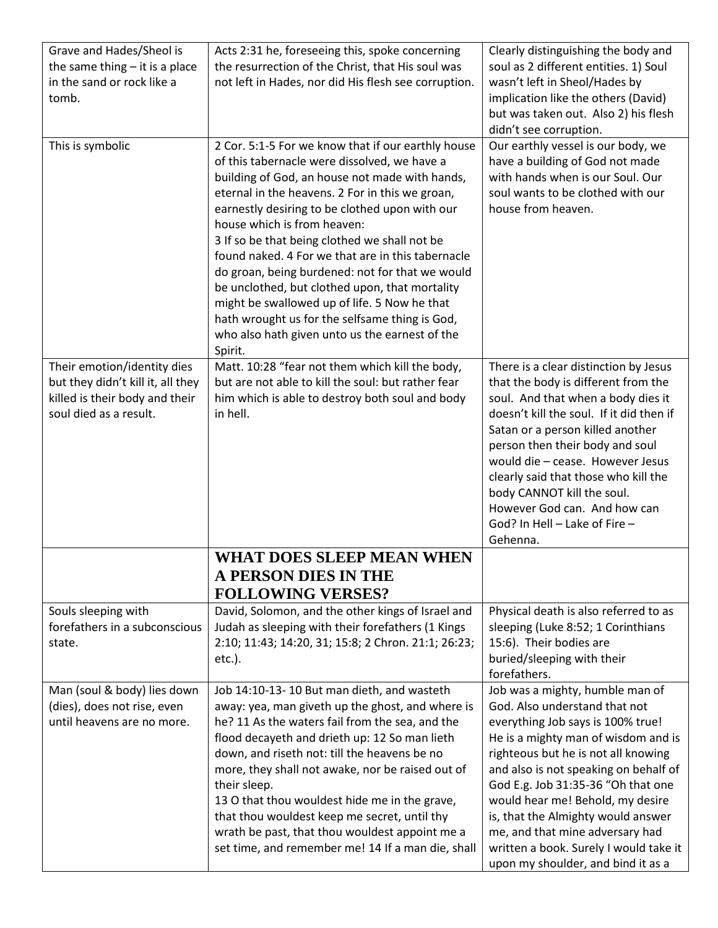| Grave and Hades/Sheol is          | Acts 2:31 he, foreseeing this, spoke concerning      | Clearly distinguishing the body and      |
|-----------------------------------|------------------------------------------------------|------------------------------------------|
| the same thing $-$ it is a place  | the resurrection of the Christ, that His soul was    | soul as 2 different entities. 1) Soul    |
| in the sand or rock like a        | not left in Hades, nor did His flesh see corruption. | wasn't left in Sheol/Hades by            |
| tomb.                             |                                                      | implication like the others (David)      |
|                                   |                                                      | but was taken out. Also 2) his flesh     |
|                                   |                                                      | didn't see corruption.                   |
| This is symbolic                  | 2 Cor. 5:1-5 For we know that if our earthly house   | Our earthly vessel is our body, we       |
|                                   | of this tabernacle were dissolved, we have a         | have a building of God not made          |
|                                   | building of God, an house not made with hands,       | with hands when is our Soul. Our         |
|                                   | eternal in the heavens. 2 For in this we groan,      | soul wants to be clothed with our        |
|                                   | earnestly desiring to be clothed upon with our       | house from heaven.                       |
|                                   | house which is from heaven:                          |                                          |
|                                   | 3 If so be that being clothed we shall not be        |                                          |
|                                   | found naked. 4 For we that are in this tabernacle    |                                          |
|                                   | do groan, being burdened: not for that we would      |                                          |
|                                   | be unclothed, but clothed upon, that mortality       |                                          |
|                                   | might be swallowed up of life. 5 Now he that         |                                          |
|                                   | hath wrought us for the selfsame thing is God,       |                                          |
|                                   | who also hath given unto us the earnest of the       |                                          |
|                                   | Spirit.                                              |                                          |
| Their emotion/identity dies       | Matt. 10:28 "fear not them which kill the body,      | There is a clear distinction by Jesus    |
| but they didn't kill it, all they | but are not able to kill the soul: but rather fear   | that the body is different from the      |
| killed is their body and their    | him which is able to destroy both soul and body      | soul. And that when a body dies it       |
| soul died as a result.            | in hell.                                             | doesn't kill the soul. If it did then if |
|                                   |                                                      | Satan or a person killed another         |
|                                   |                                                      | person then their body and soul          |
|                                   |                                                      | would die - cease. However Jesus         |
|                                   |                                                      | clearly said that those who kill the     |
|                                   |                                                      | body CANNOT kill the soul.               |
|                                   |                                                      | However God can. And how can             |
|                                   |                                                      | God? In Hell - Lake of Fire -            |
|                                   |                                                      | Gehenna.                                 |
|                                   | WHAT DOES SLEEP MEAN WHEN                            |                                          |
|                                   | <b>A PERSON DIES IN THE</b>                          |                                          |
|                                   | <b>FOLLOWING VERSES?</b>                             |                                          |
| Souls sleeping with               | David, Solomon, and the other kings of Israel and    | Physical death is also referred to as    |
| forefathers in a subconscious     | Judah as sleeping with their forefathers (1 Kings    | sleeping (Luke 8:52; 1 Corinthians       |
| state.                            | 2:10; 11:43; 14:20, 31; 15:8; 2 Chron. 21:1; 26:23;  | 15:6). Their bodies are                  |
|                                   | $etc.$ ).                                            | buried/sleeping with their               |
|                                   |                                                      | forefathers.                             |
| Man (soul & body) lies down       | Job 14:10-13-10 But man dieth, and wasteth           | Job was a mighty, humble man of          |
| (dies), does not rise, even       | away: yea, man giveth up the ghost, and where is     | God. Also understand that not            |
| until heavens are no more.        | he? 11 As the waters fail from the sea, and the      | everything Job says is 100% true!        |
|                                   | flood decayeth and drieth up: 12 So man lieth        | He is a mighty man of wisdom and is      |
|                                   | down, and riseth not: till the heavens be no         | righteous but he is not all knowing      |
|                                   | more, they shall not awake, nor be raised out of     | and also is not speaking on behalf of    |
|                                   | their sleep.                                         | God E.g. Job 31:35-36 "Oh that one       |
|                                   | 13 O that thou wouldest hide me in the grave,        | would hear me! Behold, my desire         |
|                                   | that thou wouldest keep me secret, until thy         | is, that the Almighty would answer       |
|                                   | wrath be past, that thou wouldest appoint me a       | me, and that mine adversary had          |
|                                   | set time, and remember me! 14 If a man die, shall    | written a book. Surely I would take it   |
|                                   |                                                      | upon my shoulder, and bind it as a       |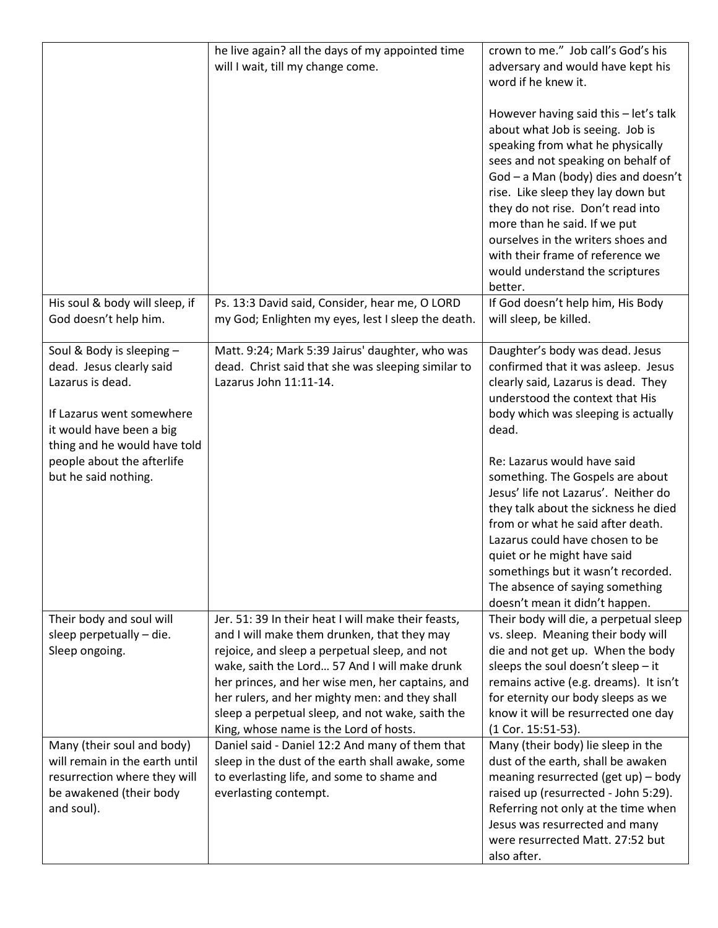|                                                                                                                                                                                                                          | he live again? all the days of my appointed time<br>will I wait, till my change come.                                                                                                                                                                                                                                                                                                                    | crown to me." Job call's God's his<br>adversary and would have kept his<br>word if he knew it.<br>However having said this - let's talk<br>about what Job is seeing. Job is<br>speaking from what he physically<br>sees and not speaking on behalf of<br>God - a Man (body) dies and doesn't<br>rise. Like sleep they lay down but<br>they do not rise. Don't read into<br>more than he said. If we put<br>ourselves in the writers shoes and<br>with their frame of reference we<br>would understand the scriptures<br>better.                                       |
|--------------------------------------------------------------------------------------------------------------------------------------------------------------------------------------------------------------------------|----------------------------------------------------------------------------------------------------------------------------------------------------------------------------------------------------------------------------------------------------------------------------------------------------------------------------------------------------------------------------------------------------------|-----------------------------------------------------------------------------------------------------------------------------------------------------------------------------------------------------------------------------------------------------------------------------------------------------------------------------------------------------------------------------------------------------------------------------------------------------------------------------------------------------------------------------------------------------------------------|
| His soul & body will sleep, if<br>God doesn't help him.                                                                                                                                                                  | Ps. 13:3 David said, Consider, hear me, O LORD<br>my God; Enlighten my eyes, lest I sleep the death.                                                                                                                                                                                                                                                                                                     | If God doesn't help him, His Body<br>will sleep, be killed.                                                                                                                                                                                                                                                                                                                                                                                                                                                                                                           |
| Soul & Body is sleeping -<br>dead. Jesus clearly said<br>Lazarus is dead.<br>If Lazarus went somewhere<br>it would have been a big<br>thing and he would have told<br>people about the afterlife<br>but he said nothing. | Matt. 9:24; Mark 5:39 Jairus' daughter, who was<br>dead. Christ said that she was sleeping similar to<br>Lazarus John 11:11-14.                                                                                                                                                                                                                                                                          | Daughter's body was dead. Jesus<br>confirmed that it was asleep. Jesus<br>clearly said, Lazarus is dead. They<br>understood the context that His<br>body which was sleeping is actually<br>dead.<br>Re: Lazarus would have said<br>something. The Gospels are about<br>Jesus' life not Lazarus'. Neither do<br>they talk about the sickness he died<br>from or what he said after death.<br>Lazarus could have chosen to be<br>quiet or he might have said<br>somethings but it wasn't recorded.<br>The absence of saying something<br>doesn't mean it didn't happen. |
| Their body and soul will<br>sleep perpetually - die.<br>Sleep ongoing.                                                                                                                                                   | Jer. 51: 39 In their heat I will make their feasts,<br>and I will make them drunken, that they may<br>rejoice, and sleep a perpetual sleep, and not<br>wake, saith the Lord 57 And I will make drunk<br>her princes, and her wise men, her captains, and<br>her rulers, and her mighty men: and they shall<br>sleep a perpetual sleep, and not wake, saith the<br>King, whose name is the Lord of hosts. | Their body will die, a perpetual sleep<br>vs. sleep. Meaning their body will<br>die and not get up. When the body<br>sleeps the soul doesn't sleep - it<br>remains active (e.g. dreams). It isn't<br>for eternity our body sleeps as we<br>know it will be resurrected one day<br>(1 Cor. 15:51-53).                                                                                                                                                                                                                                                                  |
| Many (their soul and body)<br>will remain in the earth until<br>resurrection where they will<br>be awakened (their body<br>and soul).                                                                                    | Daniel said - Daniel 12:2 And many of them that<br>sleep in the dust of the earth shall awake, some<br>to everlasting life, and some to shame and<br>everlasting contempt.                                                                                                                                                                                                                               | Many (their body) lie sleep in the<br>dust of the earth, shall be awaken<br>meaning resurrected (get up) - body<br>raised up (resurrected - John 5:29).<br>Referring not only at the time when<br>Jesus was resurrected and many<br>were resurrected Matt. 27:52 but<br>also after.                                                                                                                                                                                                                                                                                   |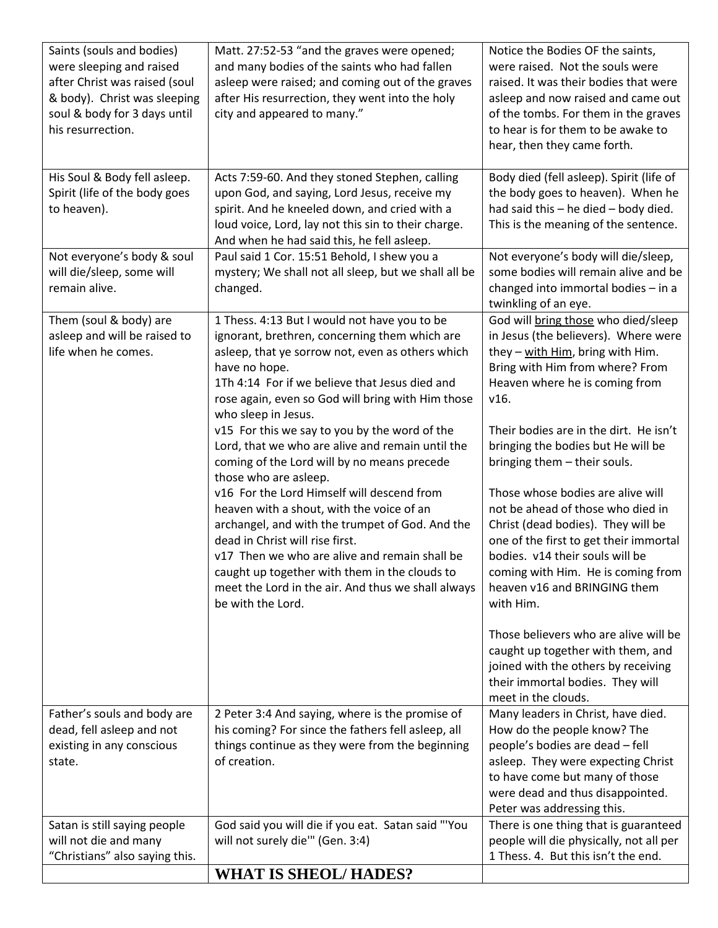| Saints (souls and bodies)      | Matt. 27:52-53 "and the graves were opened;          | Notice the Bodies OF the saints,         |
|--------------------------------|------------------------------------------------------|------------------------------------------|
| were sleeping and raised       | and many bodies of the saints who had fallen         | were raised. Not the souls were          |
| after Christ was raised (soul  | asleep were raised; and coming out of the graves     | raised. It was their bodies that were    |
| & body). Christ was sleeping   | after His resurrection, they went into the holy      | asleep and now raised and came out       |
|                                |                                                      |                                          |
| soul & body for 3 days until   | city and appeared to many."                          | of the tombs. For them in the graves     |
| his resurrection.              |                                                      | to hear is for them to be awake to       |
|                                |                                                      | hear, then they came forth.              |
|                                |                                                      |                                          |
| His Soul & Body fell asleep.   | Acts 7:59-60. And they stoned Stephen, calling       | Body died (fell asleep). Spirit (life of |
| Spirit (life of the body goes  | upon God, and saying, Lord Jesus, receive my         | the body goes to heaven). When he        |
| to heaven).                    | spirit. And he kneeled down, and cried with a        | had said this - he died - body died.     |
|                                | loud voice, Lord, lay not this sin to their charge.  | This is the meaning of the sentence.     |
|                                | And when he had said this, he fell asleep.           |                                          |
| Not everyone's body & soul     | Paul said 1 Cor. 15:51 Behold, I shew you a          | Not everyone's body will die/sleep,      |
| will die/sleep, some will      | mystery; We shall not all sleep, but we shall all be | some bodies will remain alive and be     |
| remain alive.                  |                                                      |                                          |
|                                | changed.                                             | changed into immortal bodies - in a      |
|                                |                                                      | twinkling of an eye.                     |
| Them (soul & body) are         | 1 Thess. 4:13 But I would not have you to be         | God will bring those who died/sleep      |
| asleep and will be raised to   | ignorant, brethren, concerning them which are        | in Jesus (the believers). Where were     |
| life when he comes.            | asleep, that ye sorrow not, even as others which     | they - with Him, bring with Him.         |
|                                | have no hope.                                        | Bring with Him from where? From          |
|                                | 1Th 4:14 For if we believe that Jesus died and       | Heaven where he is coming from           |
|                                | rose again, even so God will bring with Him those    | v16.                                     |
|                                | who sleep in Jesus.                                  |                                          |
|                                | v15 For this we say to you by the word of the        | Their bodies are in the dirt. He isn't   |
|                                | Lord, that we who are alive and remain until the     | bringing the bodies but He will be       |
|                                |                                                      |                                          |
|                                | coming of the Lord will by no means precede          | bringing them - their souls.             |
|                                | those who are asleep.                                |                                          |
|                                | v16 For the Lord Himself will descend from           | Those whose bodies are alive will        |
|                                | heaven with a shout, with the voice of an            | not be ahead of those who died in        |
|                                | archangel, and with the trumpet of God. And the      | Christ (dead bodies). They will be       |
|                                | dead in Christ will rise first.                      | one of the first to get their immortal   |
|                                | v17 Then we who are alive and remain shall be        | bodies. v14 their souls will be          |
|                                | caught up together with them in the clouds to        | coming with Him. He is coming from       |
|                                | meet the Lord in the air. And thus we shall always   | heaven v16 and BRINGING them             |
|                                | be with the Lord.                                    | with Him.                                |
|                                |                                                      |                                          |
|                                |                                                      | Those believers who are alive will be    |
|                                |                                                      | caught up together with them, and        |
|                                |                                                      |                                          |
|                                |                                                      | joined with the others by receiving      |
|                                |                                                      | their immortal bodies. They will         |
|                                |                                                      | meet in the clouds.                      |
| Father's souls and body are    | 2 Peter 3:4 And saying, where is the promise of      | Many leaders in Christ, have died.       |
| dead, fell asleep and not      | his coming? For since the fathers fell asleep, all   | How do the people know? The              |
| existing in any conscious      | things continue as they were from the beginning      | people's bodies are dead - fell          |
| state.                         | of creation.                                         | asleep. They were expecting Christ       |
|                                |                                                      | to have come but many of those           |
|                                |                                                      | were dead and thus disappointed.         |
|                                |                                                      | Peter was addressing this.               |
| Satan is still saying people   | God said you will die if you eat. Satan said "'You   | There is one thing that is guaranteed    |
| will not die and many          | will not surely die"" (Gen. 3:4)                     | people will die physically, not all per  |
|                                |                                                      |                                          |
| "Christians" also saying this. |                                                      | 1 Thess. 4. But this isn't the end.      |
|                                | <b>WHAT IS SHEOL/HADES?</b>                          |                                          |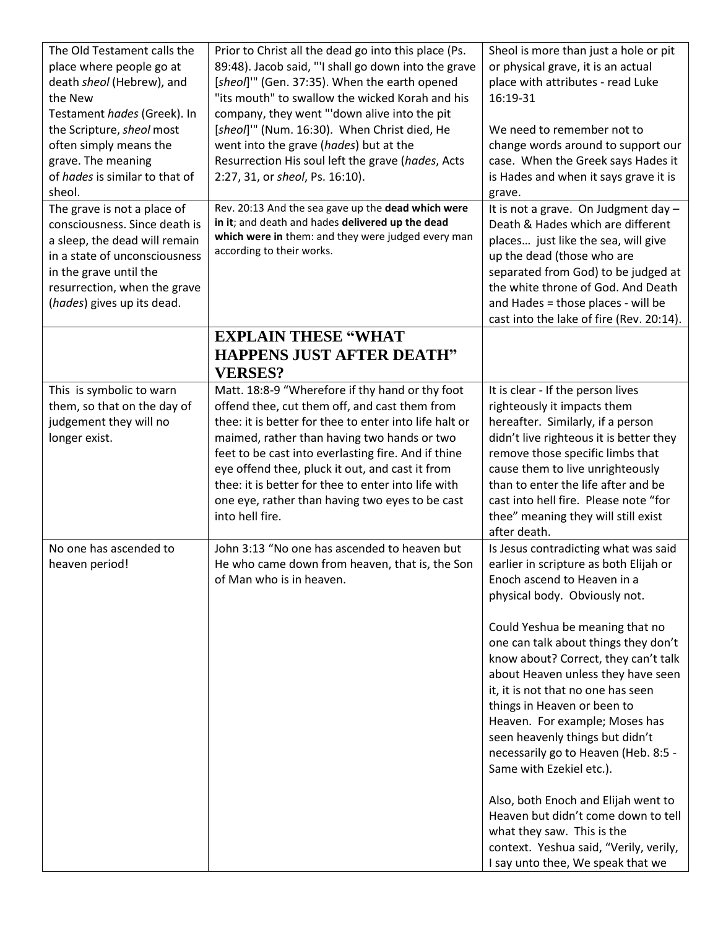| The Old Testament calls the<br>place where people go at<br>death sheol (Hebrew), and<br>the New<br>Testament hades (Greek). In<br>the Scripture, sheol most<br>often simply means the<br>grave. The meaning<br>of hades is similar to that of<br>sheol.<br>The grave is not a place of<br>consciousness. Since death is<br>a sleep, the dead will remain<br>in a state of unconsciousness<br>in the grave until the<br>resurrection, when the grave<br>(hades) gives up its dead. | Prior to Christ all the dead go into this place (Ps.<br>89:48). Jacob said, "'I shall go down into the grave<br>[sheol]"" (Gen. 37:35). When the earth opened<br>"its mouth" to swallow the wicked Korah and his<br>company, they went "'down alive into the pit<br>[sheol]"" (Num. 16:30). When Christ died, He<br>went into the grave (hades) but at the<br>Resurrection His soul left the grave (hades, Acts<br>2:27, 31, or sheol, Ps. 16:10).<br>Rev. 20:13 And the sea gave up the dead which were<br>in it; and death and hades delivered up the dead<br>which were in them: and they were judged every man<br>according to their works. | Sheol is more than just a hole or pit<br>or physical grave, it is an actual<br>place with attributes - read Luke<br>16:19-31<br>We need to remember not to<br>change words around to support our<br>case. When the Greek says Hades it<br>is Hades and when it says grave it is<br>grave.<br>It is not a grave. On Judgment day -<br>Death & Hades which are different<br>places just like the sea, will give<br>up the dead (those who are<br>separated from God) to be judged at<br>the white throne of God. And Death<br>and Hades = those places - will be                                                                                                                                                   |
|-----------------------------------------------------------------------------------------------------------------------------------------------------------------------------------------------------------------------------------------------------------------------------------------------------------------------------------------------------------------------------------------------------------------------------------------------------------------------------------|-------------------------------------------------------------------------------------------------------------------------------------------------------------------------------------------------------------------------------------------------------------------------------------------------------------------------------------------------------------------------------------------------------------------------------------------------------------------------------------------------------------------------------------------------------------------------------------------------------------------------------------------------|------------------------------------------------------------------------------------------------------------------------------------------------------------------------------------------------------------------------------------------------------------------------------------------------------------------------------------------------------------------------------------------------------------------------------------------------------------------------------------------------------------------------------------------------------------------------------------------------------------------------------------------------------------------------------------------------------------------|
|                                                                                                                                                                                                                                                                                                                                                                                                                                                                                   | <b>EXPLAIN THESE "WHAT</b><br><b>HAPPENS JUST AFTER DEATH"</b><br><b>VERSES?</b>                                                                                                                                                                                                                                                                                                                                                                                                                                                                                                                                                                | cast into the lake of fire (Rev. 20:14).                                                                                                                                                                                                                                                                                                                                                                                                                                                                                                                                                                                                                                                                         |
| This is symbolic to warn<br>them, so that on the day of<br>judgement they will no<br>longer exist.                                                                                                                                                                                                                                                                                                                                                                                | Matt. 18:8-9 "Wherefore if thy hand or thy foot<br>offend thee, cut them off, and cast them from<br>thee: it is better for thee to enter into life halt or<br>maimed, rather than having two hands or two<br>feet to be cast into everlasting fire. And if thine<br>eye offend thee, pluck it out, and cast it from<br>thee: it is better for thee to enter into life with<br>one eye, rather than having two eyes to be cast<br>into hell fire.                                                                                                                                                                                                | It is clear - If the person lives<br>righteously it impacts them<br>hereafter. Similarly, if a person<br>didn't live righteous it is better they<br>remove those specific limbs that<br>cause them to live unrighteously<br>than to enter the life after and be<br>cast into hell fire. Please note "for<br>thee" meaning they will still exist<br>after death.                                                                                                                                                                                                                                                                                                                                                  |
| No one has ascended to<br>heaven period!                                                                                                                                                                                                                                                                                                                                                                                                                                          | John 3:13 "No one has ascended to heaven but<br>He who came down from heaven, that is, the Son<br>of Man who is in heaven.                                                                                                                                                                                                                                                                                                                                                                                                                                                                                                                      | Is Jesus contradicting what was said<br>earlier in scripture as both Elijah or<br>Enoch ascend to Heaven in a<br>physical body. Obviously not.<br>Could Yeshua be meaning that no<br>one can talk about things they don't<br>know about? Correct, they can't talk<br>about Heaven unless they have seen<br>it, it is not that no one has seen<br>things in Heaven or been to<br>Heaven. For example; Moses has<br>seen heavenly things but didn't<br>necessarily go to Heaven (Heb. 8:5 -<br>Same with Ezekiel etc.).<br>Also, both Enoch and Elijah went to<br>Heaven but didn't come down to tell<br>what they saw. This is the<br>context. Yeshua said, "Verily, verily,<br>I say unto thee, We speak that we |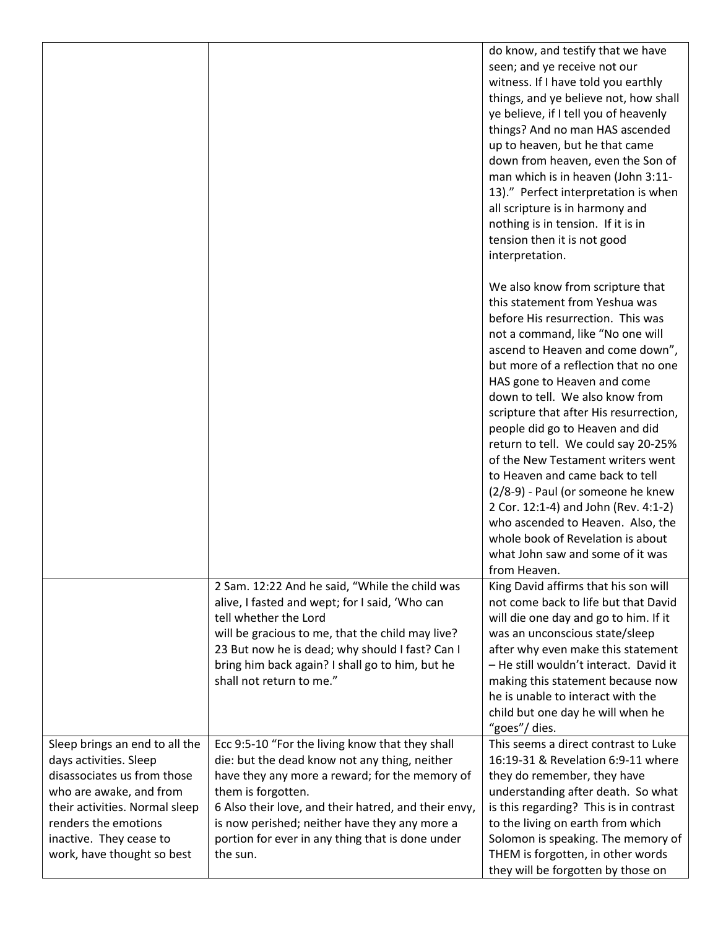|                                                                                                                                                                                                                                       |                                                                                                                                                                                                                                                                                                                                                   | do know, and testify that we have<br>seen; and ye receive not our<br>witness. If I have told you earthly<br>things, and ye believe not, how shall<br>ye believe, if I tell you of heavenly<br>things? And no man HAS ascended<br>up to heaven, but he that came<br>down from heaven, even the Son of<br>man which is in heaven (John 3:11-<br>13)." Perfect interpretation is when<br>all scripture is in harmony and<br>nothing is in tension. If it is in<br>tension then it is not good<br>interpretation.                                                                                                                                                                                     |
|---------------------------------------------------------------------------------------------------------------------------------------------------------------------------------------------------------------------------------------|---------------------------------------------------------------------------------------------------------------------------------------------------------------------------------------------------------------------------------------------------------------------------------------------------------------------------------------------------|---------------------------------------------------------------------------------------------------------------------------------------------------------------------------------------------------------------------------------------------------------------------------------------------------------------------------------------------------------------------------------------------------------------------------------------------------------------------------------------------------------------------------------------------------------------------------------------------------------------------------------------------------------------------------------------------------|
|                                                                                                                                                                                                                                       |                                                                                                                                                                                                                                                                                                                                                   | We also know from scripture that<br>this statement from Yeshua was<br>before His resurrection. This was<br>not a command, like "No one will<br>ascend to Heaven and come down",<br>but more of a reflection that no one<br>HAS gone to Heaven and come<br>down to tell. We also know from<br>scripture that after His resurrection,<br>people did go to Heaven and did<br>return to tell. We could say 20-25%<br>of the New Testament writers went<br>to Heaven and came back to tell<br>(2/8-9) - Paul (or someone he knew<br>2 Cor. 12:1-4) and John (Rev. 4:1-2)<br>who ascended to Heaven. Also, the<br>whole book of Revelation is about<br>what John saw and some of it was<br>from Heaven. |
|                                                                                                                                                                                                                                       | 2 Sam. 12:22 And he said, "While the child was<br>alive, I fasted and wept; for I said, 'Who can<br>tell whether the Lord<br>will be gracious to me, that the child may live?<br>23 But now he is dead; why should I fast? Can I<br>bring him back again? I shall go to him, but he<br>shall not return to me."                                   | King David affirms that his son will<br>not come back to life but that David<br>will die one day and go to him. If it<br>was an unconscious state/sleep<br>after why even make this statement<br>- He still wouldn't interact. David it<br>making this statement because now<br>he is unable to interact with the<br>child but one day he will when he<br>"goes"/dies.                                                                                                                                                                                                                                                                                                                            |
| Sleep brings an end to all the<br>days activities. Sleep<br>disassociates us from those<br>who are awake, and from<br>their activities. Normal sleep<br>renders the emotions<br>inactive. They cease to<br>work, have thought so best | Ecc 9:5-10 "For the living know that they shall<br>die: but the dead know not any thing, neither<br>have they any more a reward; for the memory of<br>them is forgotten.<br>6 Also their love, and their hatred, and their envy,<br>is now perished; neither have they any more a<br>portion for ever in any thing that is done under<br>the sun. | This seems a direct contrast to Luke<br>16:19-31 & Revelation 6:9-11 where<br>they do remember, they have<br>understanding after death. So what<br>is this regarding? This is in contrast<br>to the living on earth from which<br>Solomon is speaking. The memory of<br>THEM is forgotten, in other words<br>they will be forgotten by those on                                                                                                                                                                                                                                                                                                                                                   |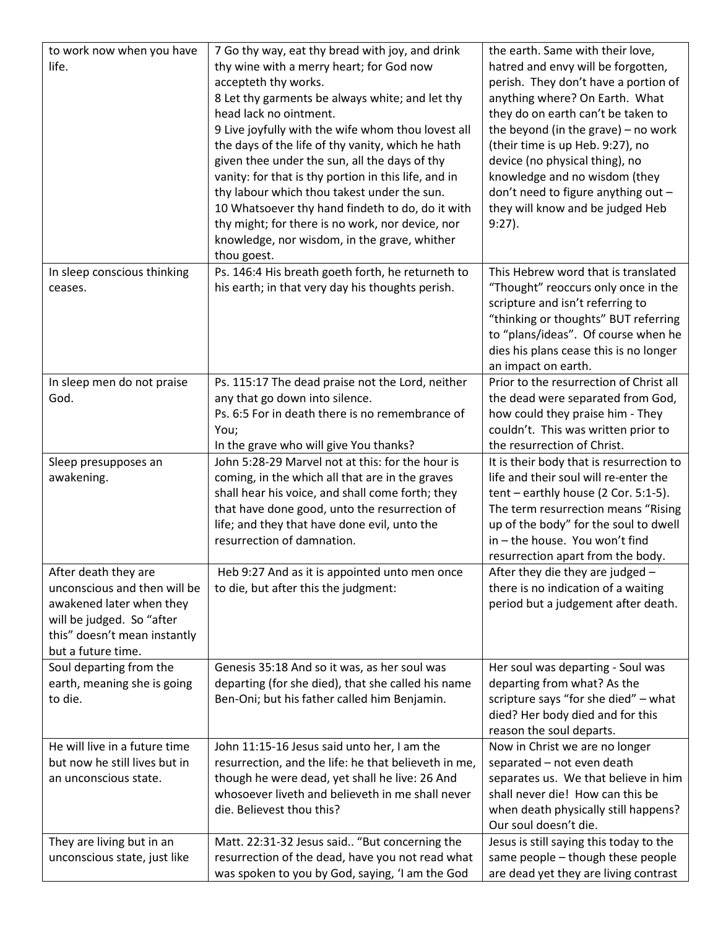| thy wine with a merry heart; for God now<br>hatred and envy will be forgotten,<br>life.<br>accepteth thy works.<br>perish. They don't have a portion of<br>8 Let thy garments be always white; and let thy<br>anything where? On Earth. What<br>head lack no ointment.<br>they do on earth can't be taken to<br>9 Live joyfully with the wife whom thou lovest all<br>the beyond (in the grave) $-$ no work<br>the days of the life of thy vanity, which he hath<br>(their time is up Heb. 9:27), no<br>given thee under the sun, all the days of thy<br>device (no physical thing), no<br>knowledge and no wisdom (they<br>vanity: for that is thy portion in this life, and in<br>thy labour which thou takest under the sun.<br>don't need to figure anything out -<br>they will know and be judged Heb<br>10 Whatsoever thy hand findeth to do, do it with<br>thy might; for there is no work, nor device, nor<br>$9:27$ ).<br>knowledge, nor wisdom, in the grave, whither<br>thou goest.<br>Ps. 146:4 His breath goeth forth, he returneth to<br>This Hebrew word that is translated<br>In sleep conscious thinking<br>his earth; in that very day his thoughts perish.<br>"Thought" reoccurs only once in the<br>ceases.<br>scripture and isn't referring to<br>"thinking or thoughts" BUT referring<br>to "plans/ideas". Of course when he<br>dies his plans cease this is no longer<br>an impact on earth.<br>Prior to the resurrection of Christ all<br>In sleep men do not praise<br>Ps. 115:17 The dead praise not the Lord, neither<br>any that go down into silence.<br>God.<br>the dead were separated from God,<br>Ps. 6:5 For in death there is no remembrance of<br>how could they praise him - They<br>couldn't. This was written prior to<br>You;<br>In the grave who will give You thanks?<br>the resurrection of Christ.<br>John 5:28-29 Marvel not at this: for the hour is<br>It is their body that is resurrection to<br>Sleep presupposes an<br>coming, in the which all that are in the graves<br>life and their soul will re-enter the<br>awakening.<br>shall hear his voice, and shall come forth; they<br>$tent - early house (2 Cor. 5:1-5).$<br>that have done good, unto the resurrection of<br>The term resurrection means "Rising<br>life; and they that have done evil, unto the<br>up of the body" for the soul to dwell<br>resurrection of damnation.<br>in - the house. You won't find<br>resurrection apart from the body.<br>After death they are<br>Heb 9:27 And as it is appointed unto men once<br>After they die they are judged -<br>unconscious and then will be<br>to die, but after this the judgment:<br>there is no indication of a waiting<br>period but a judgement after death.<br>awakened later when they<br>will be judged. So "after<br>this" doesn't mean instantly<br>but a future time.<br>Soul departing from the<br>Genesis 35:18 And so it was, as her soul was<br>Her soul was departing - Soul was<br>earth, meaning she is going<br>departing (for she died), that she called his name<br>departing from what? As the<br>scripture says "for she died" - what<br>Ben-Oni; but his father called him Benjamin.<br>to die.<br>died? Her body died and for this<br>reason the soul departs.<br>He will live in a future time<br>John 11:15-16 Jesus said unto her, I am the<br>Now in Christ we are no longer<br>but now he still lives but in<br>resurrection, and the life: he that believeth in me,<br>separated - not even death<br>though he were dead, yet shall he live: 26 And<br>separates us. We that believe in him<br>an unconscious state.<br>whosoever liveth and believeth in me shall never<br>shall never die! How can this be<br>die. Believest thou this?<br>when death physically still happens?<br>Our soul doesn't die.<br>Jesus is still saying this today to the<br>They are living but in an<br>Matt. 22:31-32 Jesus said "But concerning the<br>same people - though these people<br>unconscious state, just like<br>resurrection of the dead, have you not read what | to work now when you have | 7 Go thy way, eat thy bread with joy, and drink | the earth. Same with their love,      |
|-----------------------------------------------------------------------------------------------------------------------------------------------------------------------------------------------------------------------------------------------------------------------------------------------------------------------------------------------------------------------------------------------------------------------------------------------------------------------------------------------------------------------------------------------------------------------------------------------------------------------------------------------------------------------------------------------------------------------------------------------------------------------------------------------------------------------------------------------------------------------------------------------------------------------------------------------------------------------------------------------------------------------------------------------------------------------------------------------------------------------------------------------------------------------------------------------------------------------------------------------------------------------------------------------------------------------------------------------------------------------------------------------------------------------------------------------------------------------------------------------------------------------------------------------------------------------------------------------------------------------------------------------------------------------------------------------------------------------------------------------------------------------------------------------------------------------------------------------------------------------------------------------------------------------------------------------------------------------------------------------------------------------------------------------------------------------------------------------------------------------------------------------------------------------------------------------------------------------------------------------------------------------------------------------------------------------------------------------------------------------------------------------------------------------------------------------------------------------------------------------------------------------------------------------------------------------------------------------------------------------------------------------------------------------------------------------------------------------------------------------------------------------------------------------------------------------------------------------------------------------------------------------------------------------------------------------------------------------------------------------------------------------------------------------------------------------------------------------------------------------------------------------------------------------------------------------------------------------------------------------------------------------------------------------------------------------------------------------------------------------------------------------------------------------------------------------------------------------------------------------------------------------------------------------------------------------------------------------------------------------------------------------------------------------------------------------------------------------------------------------------------------------------------------------------------------------------------------------------------------------------------------------------------------------------------------------------------------------------------------------------------------------------------------------------------------|---------------------------|-------------------------------------------------|---------------------------------------|
|                                                                                                                                                                                                                                                                                                                                                                                                                                                                                                                                                                                                                                                                                                                                                                                                                                                                                                                                                                                                                                                                                                                                                                                                                                                                                                                                                                                                                                                                                                                                                                                                                                                                                                                                                                                                                                                                                                                                                                                                                                                                                                                                                                                                                                                                                                                                                                                                                                                                                                                                                                                                                                                                                                                                                                                                                                                                                                                                                                                                                                                                                                                                                                                                                                                                                                                                                                                                                                                                                                                                                                                                                                                                                                                                                                                                                                                                                                                                                                                                                                                                 |                           |                                                 |                                       |
|                                                                                                                                                                                                                                                                                                                                                                                                                                                                                                                                                                                                                                                                                                                                                                                                                                                                                                                                                                                                                                                                                                                                                                                                                                                                                                                                                                                                                                                                                                                                                                                                                                                                                                                                                                                                                                                                                                                                                                                                                                                                                                                                                                                                                                                                                                                                                                                                                                                                                                                                                                                                                                                                                                                                                                                                                                                                                                                                                                                                                                                                                                                                                                                                                                                                                                                                                                                                                                                                                                                                                                                                                                                                                                                                                                                                                                                                                                                                                                                                                                                                 |                           |                                                 |                                       |
|                                                                                                                                                                                                                                                                                                                                                                                                                                                                                                                                                                                                                                                                                                                                                                                                                                                                                                                                                                                                                                                                                                                                                                                                                                                                                                                                                                                                                                                                                                                                                                                                                                                                                                                                                                                                                                                                                                                                                                                                                                                                                                                                                                                                                                                                                                                                                                                                                                                                                                                                                                                                                                                                                                                                                                                                                                                                                                                                                                                                                                                                                                                                                                                                                                                                                                                                                                                                                                                                                                                                                                                                                                                                                                                                                                                                                                                                                                                                                                                                                                                                 |                           |                                                 |                                       |
|                                                                                                                                                                                                                                                                                                                                                                                                                                                                                                                                                                                                                                                                                                                                                                                                                                                                                                                                                                                                                                                                                                                                                                                                                                                                                                                                                                                                                                                                                                                                                                                                                                                                                                                                                                                                                                                                                                                                                                                                                                                                                                                                                                                                                                                                                                                                                                                                                                                                                                                                                                                                                                                                                                                                                                                                                                                                                                                                                                                                                                                                                                                                                                                                                                                                                                                                                                                                                                                                                                                                                                                                                                                                                                                                                                                                                                                                                                                                                                                                                                                                 |                           |                                                 |                                       |
|                                                                                                                                                                                                                                                                                                                                                                                                                                                                                                                                                                                                                                                                                                                                                                                                                                                                                                                                                                                                                                                                                                                                                                                                                                                                                                                                                                                                                                                                                                                                                                                                                                                                                                                                                                                                                                                                                                                                                                                                                                                                                                                                                                                                                                                                                                                                                                                                                                                                                                                                                                                                                                                                                                                                                                                                                                                                                                                                                                                                                                                                                                                                                                                                                                                                                                                                                                                                                                                                                                                                                                                                                                                                                                                                                                                                                                                                                                                                                                                                                                                                 |                           |                                                 |                                       |
|                                                                                                                                                                                                                                                                                                                                                                                                                                                                                                                                                                                                                                                                                                                                                                                                                                                                                                                                                                                                                                                                                                                                                                                                                                                                                                                                                                                                                                                                                                                                                                                                                                                                                                                                                                                                                                                                                                                                                                                                                                                                                                                                                                                                                                                                                                                                                                                                                                                                                                                                                                                                                                                                                                                                                                                                                                                                                                                                                                                                                                                                                                                                                                                                                                                                                                                                                                                                                                                                                                                                                                                                                                                                                                                                                                                                                                                                                                                                                                                                                                                                 |                           |                                                 |                                       |
|                                                                                                                                                                                                                                                                                                                                                                                                                                                                                                                                                                                                                                                                                                                                                                                                                                                                                                                                                                                                                                                                                                                                                                                                                                                                                                                                                                                                                                                                                                                                                                                                                                                                                                                                                                                                                                                                                                                                                                                                                                                                                                                                                                                                                                                                                                                                                                                                                                                                                                                                                                                                                                                                                                                                                                                                                                                                                                                                                                                                                                                                                                                                                                                                                                                                                                                                                                                                                                                                                                                                                                                                                                                                                                                                                                                                                                                                                                                                                                                                                                                                 |                           |                                                 |                                       |
|                                                                                                                                                                                                                                                                                                                                                                                                                                                                                                                                                                                                                                                                                                                                                                                                                                                                                                                                                                                                                                                                                                                                                                                                                                                                                                                                                                                                                                                                                                                                                                                                                                                                                                                                                                                                                                                                                                                                                                                                                                                                                                                                                                                                                                                                                                                                                                                                                                                                                                                                                                                                                                                                                                                                                                                                                                                                                                                                                                                                                                                                                                                                                                                                                                                                                                                                                                                                                                                                                                                                                                                                                                                                                                                                                                                                                                                                                                                                                                                                                                                                 |                           |                                                 |                                       |
|                                                                                                                                                                                                                                                                                                                                                                                                                                                                                                                                                                                                                                                                                                                                                                                                                                                                                                                                                                                                                                                                                                                                                                                                                                                                                                                                                                                                                                                                                                                                                                                                                                                                                                                                                                                                                                                                                                                                                                                                                                                                                                                                                                                                                                                                                                                                                                                                                                                                                                                                                                                                                                                                                                                                                                                                                                                                                                                                                                                                                                                                                                                                                                                                                                                                                                                                                                                                                                                                                                                                                                                                                                                                                                                                                                                                                                                                                                                                                                                                                                                                 |                           |                                                 |                                       |
|                                                                                                                                                                                                                                                                                                                                                                                                                                                                                                                                                                                                                                                                                                                                                                                                                                                                                                                                                                                                                                                                                                                                                                                                                                                                                                                                                                                                                                                                                                                                                                                                                                                                                                                                                                                                                                                                                                                                                                                                                                                                                                                                                                                                                                                                                                                                                                                                                                                                                                                                                                                                                                                                                                                                                                                                                                                                                                                                                                                                                                                                                                                                                                                                                                                                                                                                                                                                                                                                                                                                                                                                                                                                                                                                                                                                                                                                                                                                                                                                                                                                 |                           |                                                 |                                       |
|                                                                                                                                                                                                                                                                                                                                                                                                                                                                                                                                                                                                                                                                                                                                                                                                                                                                                                                                                                                                                                                                                                                                                                                                                                                                                                                                                                                                                                                                                                                                                                                                                                                                                                                                                                                                                                                                                                                                                                                                                                                                                                                                                                                                                                                                                                                                                                                                                                                                                                                                                                                                                                                                                                                                                                                                                                                                                                                                                                                                                                                                                                                                                                                                                                                                                                                                                                                                                                                                                                                                                                                                                                                                                                                                                                                                                                                                                                                                                                                                                                                                 |                           |                                                 |                                       |
|                                                                                                                                                                                                                                                                                                                                                                                                                                                                                                                                                                                                                                                                                                                                                                                                                                                                                                                                                                                                                                                                                                                                                                                                                                                                                                                                                                                                                                                                                                                                                                                                                                                                                                                                                                                                                                                                                                                                                                                                                                                                                                                                                                                                                                                                                                                                                                                                                                                                                                                                                                                                                                                                                                                                                                                                                                                                                                                                                                                                                                                                                                                                                                                                                                                                                                                                                                                                                                                                                                                                                                                                                                                                                                                                                                                                                                                                                                                                                                                                                                                                 |                           |                                                 |                                       |
|                                                                                                                                                                                                                                                                                                                                                                                                                                                                                                                                                                                                                                                                                                                                                                                                                                                                                                                                                                                                                                                                                                                                                                                                                                                                                                                                                                                                                                                                                                                                                                                                                                                                                                                                                                                                                                                                                                                                                                                                                                                                                                                                                                                                                                                                                                                                                                                                                                                                                                                                                                                                                                                                                                                                                                                                                                                                                                                                                                                                                                                                                                                                                                                                                                                                                                                                                                                                                                                                                                                                                                                                                                                                                                                                                                                                                                                                                                                                                                                                                                                                 |                           |                                                 |                                       |
|                                                                                                                                                                                                                                                                                                                                                                                                                                                                                                                                                                                                                                                                                                                                                                                                                                                                                                                                                                                                                                                                                                                                                                                                                                                                                                                                                                                                                                                                                                                                                                                                                                                                                                                                                                                                                                                                                                                                                                                                                                                                                                                                                                                                                                                                                                                                                                                                                                                                                                                                                                                                                                                                                                                                                                                                                                                                                                                                                                                                                                                                                                                                                                                                                                                                                                                                                                                                                                                                                                                                                                                                                                                                                                                                                                                                                                                                                                                                                                                                                                                                 |                           |                                                 |                                       |
|                                                                                                                                                                                                                                                                                                                                                                                                                                                                                                                                                                                                                                                                                                                                                                                                                                                                                                                                                                                                                                                                                                                                                                                                                                                                                                                                                                                                                                                                                                                                                                                                                                                                                                                                                                                                                                                                                                                                                                                                                                                                                                                                                                                                                                                                                                                                                                                                                                                                                                                                                                                                                                                                                                                                                                                                                                                                                                                                                                                                                                                                                                                                                                                                                                                                                                                                                                                                                                                                                                                                                                                                                                                                                                                                                                                                                                                                                                                                                                                                                                                                 |                           |                                                 |                                       |
|                                                                                                                                                                                                                                                                                                                                                                                                                                                                                                                                                                                                                                                                                                                                                                                                                                                                                                                                                                                                                                                                                                                                                                                                                                                                                                                                                                                                                                                                                                                                                                                                                                                                                                                                                                                                                                                                                                                                                                                                                                                                                                                                                                                                                                                                                                                                                                                                                                                                                                                                                                                                                                                                                                                                                                                                                                                                                                                                                                                                                                                                                                                                                                                                                                                                                                                                                                                                                                                                                                                                                                                                                                                                                                                                                                                                                                                                                                                                                                                                                                                                 |                           |                                                 |                                       |
|                                                                                                                                                                                                                                                                                                                                                                                                                                                                                                                                                                                                                                                                                                                                                                                                                                                                                                                                                                                                                                                                                                                                                                                                                                                                                                                                                                                                                                                                                                                                                                                                                                                                                                                                                                                                                                                                                                                                                                                                                                                                                                                                                                                                                                                                                                                                                                                                                                                                                                                                                                                                                                                                                                                                                                                                                                                                                                                                                                                                                                                                                                                                                                                                                                                                                                                                                                                                                                                                                                                                                                                                                                                                                                                                                                                                                                                                                                                                                                                                                                                                 |                           |                                                 |                                       |
|                                                                                                                                                                                                                                                                                                                                                                                                                                                                                                                                                                                                                                                                                                                                                                                                                                                                                                                                                                                                                                                                                                                                                                                                                                                                                                                                                                                                                                                                                                                                                                                                                                                                                                                                                                                                                                                                                                                                                                                                                                                                                                                                                                                                                                                                                                                                                                                                                                                                                                                                                                                                                                                                                                                                                                                                                                                                                                                                                                                                                                                                                                                                                                                                                                                                                                                                                                                                                                                                                                                                                                                                                                                                                                                                                                                                                                                                                                                                                                                                                                                                 |                           |                                                 |                                       |
|                                                                                                                                                                                                                                                                                                                                                                                                                                                                                                                                                                                                                                                                                                                                                                                                                                                                                                                                                                                                                                                                                                                                                                                                                                                                                                                                                                                                                                                                                                                                                                                                                                                                                                                                                                                                                                                                                                                                                                                                                                                                                                                                                                                                                                                                                                                                                                                                                                                                                                                                                                                                                                                                                                                                                                                                                                                                                                                                                                                                                                                                                                                                                                                                                                                                                                                                                                                                                                                                                                                                                                                                                                                                                                                                                                                                                                                                                                                                                                                                                                                                 |                           |                                                 |                                       |
|                                                                                                                                                                                                                                                                                                                                                                                                                                                                                                                                                                                                                                                                                                                                                                                                                                                                                                                                                                                                                                                                                                                                                                                                                                                                                                                                                                                                                                                                                                                                                                                                                                                                                                                                                                                                                                                                                                                                                                                                                                                                                                                                                                                                                                                                                                                                                                                                                                                                                                                                                                                                                                                                                                                                                                                                                                                                                                                                                                                                                                                                                                                                                                                                                                                                                                                                                                                                                                                                                                                                                                                                                                                                                                                                                                                                                                                                                                                                                                                                                                                                 |                           |                                                 |                                       |
|                                                                                                                                                                                                                                                                                                                                                                                                                                                                                                                                                                                                                                                                                                                                                                                                                                                                                                                                                                                                                                                                                                                                                                                                                                                                                                                                                                                                                                                                                                                                                                                                                                                                                                                                                                                                                                                                                                                                                                                                                                                                                                                                                                                                                                                                                                                                                                                                                                                                                                                                                                                                                                                                                                                                                                                                                                                                                                                                                                                                                                                                                                                                                                                                                                                                                                                                                                                                                                                                                                                                                                                                                                                                                                                                                                                                                                                                                                                                                                                                                                                                 |                           |                                                 |                                       |
|                                                                                                                                                                                                                                                                                                                                                                                                                                                                                                                                                                                                                                                                                                                                                                                                                                                                                                                                                                                                                                                                                                                                                                                                                                                                                                                                                                                                                                                                                                                                                                                                                                                                                                                                                                                                                                                                                                                                                                                                                                                                                                                                                                                                                                                                                                                                                                                                                                                                                                                                                                                                                                                                                                                                                                                                                                                                                                                                                                                                                                                                                                                                                                                                                                                                                                                                                                                                                                                                                                                                                                                                                                                                                                                                                                                                                                                                                                                                                                                                                                                                 |                           |                                                 |                                       |
|                                                                                                                                                                                                                                                                                                                                                                                                                                                                                                                                                                                                                                                                                                                                                                                                                                                                                                                                                                                                                                                                                                                                                                                                                                                                                                                                                                                                                                                                                                                                                                                                                                                                                                                                                                                                                                                                                                                                                                                                                                                                                                                                                                                                                                                                                                                                                                                                                                                                                                                                                                                                                                                                                                                                                                                                                                                                                                                                                                                                                                                                                                                                                                                                                                                                                                                                                                                                                                                                                                                                                                                                                                                                                                                                                                                                                                                                                                                                                                                                                                                                 |                           |                                                 |                                       |
|                                                                                                                                                                                                                                                                                                                                                                                                                                                                                                                                                                                                                                                                                                                                                                                                                                                                                                                                                                                                                                                                                                                                                                                                                                                                                                                                                                                                                                                                                                                                                                                                                                                                                                                                                                                                                                                                                                                                                                                                                                                                                                                                                                                                                                                                                                                                                                                                                                                                                                                                                                                                                                                                                                                                                                                                                                                                                                                                                                                                                                                                                                                                                                                                                                                                                                                                                                                                                                                                                                                                                                                                                                                                                                                                                                                                                                                                                                                                                                                                                                                                 |                           |                                                 |                                       |
|                                                                                                                                                                                                                                                                                                                                                                                                                                                                                                                                                                                                                                                                                                                                                                                                                                                                                                                                                                                                                                                                                                                                                                                                                                                                                                                                                                                                                                                                                                                                                                                                                                                                                                                                                                                                                                                                                                                                                                                                                                                                                                                                                                                                                                                                                                                                                                                                                                                                                                                                                                                                                                                                                                                                                                                                                                                                                                                                                                                                                                                                                                                                                                                                                                                                                                                                                                                                                                                                                                                                                                                                                                                                                                                                                                                                                                                                                                                                                                                                                                                                 |                           |                                                 |                                       |
|                                                                                                                                                                                                                                                                                                                                                                                                                                                                                                                                                                                                                                                                                                                                                                                                                                                                                                                                                                                                                                                                                                                                                                                                                                                                                                                                                                                                                                                                                                                                                                                                                                                                                                                                                                                                                                                                                                                                                                                                                                                                                                                                                                                                                                                                                                                                                                                                                                                                                                                                                                                                                                                                                                                                                                                                                                                                                                                                                                                                                                                                                                                                                                                                                                                                                                                                                                                                                                                                                                                                                                                                                                                                                                                                                                                                                                                                                                                                                                                                                                                                 |                           |                                                 |                                       |
|                                                                                                                                                                                                                                                                                                                                                                                                                                                                                                                                                                                                                                                                                                                                                                                                                                                                                                                                                                                                                                                                                                                                                                                                                                                                                                                                                                                                                                                                                                                                                                                                                                                                                                                                                                                                                                                                                                                                                                                                                                                                                                                                                                                                                                                                                                                                                                                                                                                                                                                                                                                                                                                                                                                                                                                                                                                                                                                                                                                                                                                                                                                                                                                                                                                                                                                                                                                                                                                                                                                                                                                                                                                                                                                                                                                                                                                                                                                                                                                                                                                                 |                           |                                                 |                                       |
|                                                                                                                                                                                                                                                                                                                                                                                                                                                                                                                                                                                                                                                                                                                                                                                                                                                                                                                                                                                                                                                                                                                                                                                                                                                                                                                                                                                                                                                                                                                                                                                                                                                                                                                                                                                                                                                                                                                                                                                                                                                                                                                                                                                                                                                                                                                                                                                                                                                                                                                                                                                                                                                                                                                                                                                                                                                                                                                                                                                                                                                                                                                                                                                                                                                                                                                                                                                                                                                                                                                                                                                                                                                                                                                                                                                                                                                                                                                                                                                                                                                                 |                           |                                                 |                                       |
|                                                                                                                                                                                                                                                                                                                                                                                                                                                                                                                                                                                                                                                                                                                                                                                                                                                                                                                                                                                                                                                                                                                                                                                                                                                                                                                                                                                                                                                                                                                                                                                                                                                                                                                                                                                                                                                                                                                                                                                                                                                                                                                                                                                                                                                                                                                                                                                                                                                                                                                                                                                                                                                                                                                                                                                                                                                                                                                                                                                                                                                                                                                                                                                                                                                                                                                                                                                                                                                                                                                                                                                                                                                                                                                                                                                                                                                                                                                                                                                                                                                                 |                           |                                                 |                                       |
|                                                                                                                                                                                                                                                                                                                                                                                                                                                                                                                                                                                                                                                                                                                                                                                                                                                                                                                                                                                                                                                                                                                                                                                                                                                                                                                                                                                                                                                                                                                                                                                                                                                                                                                                                                                                                                                                                                                                                                                                                                                                                                                                                                                                                                                                                                                                                                                                                                                                                                                                                                                                                                                                                                                                                                                                                                                                                                                                                                                                                                                                                                                                                                                                                                                                                                                                                                                                                                                                                                                                                                                                                                                                                                                                                                                                                                                                                                                                                                                                                                                                 |                           |                                                 |                                       |
|                                                                                                                                                                                                                                                                                                                                                                                                                                                                                                                                                                                                                                                                                                                                                                                                                                                                                                                                                                                                                                                                                                                                                                                                                                                                                                                                                                                                                                                                                                                                                                                                                                                                                                                                                                                                                                                                                                                                                                                                                                                                                                                                                                                                                                                                                                                                                                                                                                                                                                                                                                                                                                                                                                                                                                                                                                                                                                                                                                                                                                                                                                                                                                                                                                                                                                                                                                                                                                                                                                                                                                                                                                                                                                                                                                                                                                                                                                                                                                                                                                                                 |                           |                                                 |                                       |
|                                                                                                                                                                                                                                                                                                                                                                                                                                                                                                                                                                                                                                                                                                                                                                                                                                                                                                                                                                                                                                                                                                                                                                                                                                                                                                                                                                                                                                                                                                                                                                                                                                                                                                                                                                                                                                                                                                                                                                                                                                                                                                                                                                                                                                                                                                                                                                                                                                                                                                                                                                                                                                                                                                                                                                                                                                                                                                                                                                                                                                                                                                                                                                                                                                                                                                                                                                                                                                                                                                                                                                                                                                                                                                                                                                                                                                                                                                                                                                                                                                                                 |                           |                                                 |                                       |
|                                                                                                                                                                                                                                                                                                                                                                                                                                                                                                                                                                                                                                                                                                                                                                                                                                                                                                                                                                                                                                                                                                                                                                                                                                                                                                                                                                                                                                                                                                                                                                                                                                                                                                                                                                                                                                                                                                                                                                                                                                                                                                                                                                                                                                                                                                                                                                                                                                                                                                                                                                                                                                                                                                                                                                                                                                                                                                                                                                                                                                                                                                                                                                                                                                                                                                                                                                                                                                                                                                                                                                                                                                                                                                                                                                                                                                                                                                                                                                                                                                                                 |                           |                                                 |                                       |
|                                                                                                                                                                                                                                                                                                                                                                                                                                                                                                                                                                                                                                                                                                                                                                                                                                                                                                                                                                                                                                                                                                                                                                                                                                                                                                                                                                                                                                                                                                                                                                                                                                                                                                                                                                                                                                                                                                                                                                                                                                                                                                                                                                                                                                                                                                                                                                                                                                                                                                                                                                                                                                                                                                                                                                                                                                                                                                                                                                                                                                                                                                                                                                                                                                                                                                                                                                                                                                                                                                                                                                                                                                                                                                                                                                                                                                                                                                                                                                                                                                                                 |                           |                                                 |                                       |
|                                                                                                                                                                                                                                                                                                                                                                                                                                                                                                                                                                                                                                                                                                                                                                                                                                                                                                                                                                                                                                                                                                                                                                                                                                                                                                                                                                                                                                                                                                                                                                                                                                                                                                                                                                                                                                                                                                                                                                                                                                                                                                                                                                                                                                                                                                                                                                                                                                                                                                                                                                                                                                                                                                                                                                                                                                                                                                                                                                                                                                                                                                                                                                                                                                                                                                                                                                                                                                                                                                                                                                                                                                                                                                                                                                                                                                                                                                                                                                                                                                                                 |                           |                                                 |                                       |
|                                                                                                                                                                                                                                                                                                                                                                                                                                                                                                                                                                                                                                                                                                                                                                                                                                                                                                                                                                                                                                                                                                                                                                                                                                                                                                                                                                                                                                                                                                                                                                                                                                                                                                                                                                                                                                                                                                                                                                                                                                                                                                                                                                                                                                                                                                                                                                                                                                                                                                                                                                                                                                                                                                                                                                                                                                                                                                                                                                                                                                                                                                                                                                                                                                                                                                                                                                                                                                                                                                                                                                                                                                                                                                                                                                                                                                                                                                                                                                                                                                                                 |                           |                                                 |                                       |
|                                                                                                                                                                                                                                                                                                                                                                                                                                                                                                                                                                                                                                                                                                                                                                                                                                                                                                                                                                                                                                                                                                                                                                                                                                                                                                                                                                                                                                                                                                                                                                                                                                                                                                                                                                                                                                                                                                                                                                                                                                                                                                                                                                                                                                                                                                                                                                                                                                                                                                                                                                                                                                                                                                                                                                                                                                                                                                                                                                                                                                                                                                                                                                                                                                                                                                                                                                                                                                                                                                                                                                                                                                                                                                                                                                                                                                                                                                                                                                                                                                                                 |                           |                                                 |                                       |
|                                                                                                                                                                                                                                                                                                                                                                                                                                                                                                                                                                                                                                                                                                                                                                                                                                                                                                                                                                                                                                                                                                                                                                                                                                                                                                                                                                                                                                                                                                                                                                                                                                                                                                                                                                                                                                                                                                                                                                                                                                                                                                                                                                                                                                                                                                                                                                                                                                                                                                                                                                                                                                                                                                                                                                                                                                                                                                                                                                                                                                                                                                                                                                                                                                                                                                                                                                                                                                                                                                                                                                                                                                                                                                                                                                                                                                                                                                                                                                                                                                                                 |                           |                                                 |                                       |
|                                                                                                                                                                                                                                                                                                                                                                                                                                                                                                                                                                                                                                                                                                                                                                                                                                                                                                                                                                                                                                                                                                                                                                                                                                                                                                                                                                                                                                                                                                                                                                                                                                                                                                                                                                                                                                                                                                                                                                                                                                                                                                                                                                                                                                                                                                                                                                                                                                                                                                                                                                                                                                                                                                                                                                                                                                                                                                                                                                                                                                                                                                                                                                                                                                                                                                                                                                                                                                                                                                                                                                                                                                                                                                                                                                                                                                                                                                                                                                                                                                                                 |                           |                                                 |                                       |
|                                                                                                                                                                                                                                                                                                                                                                                                                                                                                                                                                                                                                                                                                                                                                                                                                                                                                                                                                                                                                                                                                                                                                                                                                                                                                                                                                                                                                                                                                                                                                                                                                                                                                                                                                                                                                                                                                                                                                                                                                                                                                                                                                                                                                                                                                                                                                                                                                                                                                                                                                                                                                                                                                                                                                                                                                                                                                                                                                                                                                                                                                                                                                                                                                                                                                                                                                                                                                                                                                                                                                                                                                                                                                                                                                                                                                                                                                                                                                                                                                                                                 |                           |                                                 |                                       |
|                                                                                                                                                                                                                                                                                                                                                                                                                                                                                                                                                                                                                                                                                                                                                                                                                                                                                                                                                                                                                                                                                                                                                                                                                                                                                                                                                                                                                                                                                                                                                                                                                                                                                                                                                                                                                                                                                                                                                                                                                                                                                                                                                                                                                                                                                                                                                                                                                                                                                                                                                                                                                                                                                                                                                                                                                                                                                                                                                                                                                                                                                                                                                                                                                                                                                                                                                                                                                                                                                                                                                                                                                                                                                                                                                                                                                                                                                                                                                                                                                                                                 |                           |                                                 |                                       |
|                                                                                                                                                                                                                                                                                                                                                                                                                                                                                                                                                                                                                                                                                                                                                                                                                                                                                                                                                                                                                                                                                                                                                                                                                                                                                                                                                                                                                                                                                                                                                                                                                                                                                                                                                                                                                                                                                                                                                                                                                                                                                                                                                                                                                                                                                                                                                                                                                                                                                                                                                                                                                                                                                                                                                                                                                                                                                                                                                                                                                                                                                                                                                                                                                                                                                                                                                                                                                                                                                                                                                                                                                                                                                                                                                                                                                                                                                                                                                                                                                                                                 |                           |                                                 |                                       |
|                                                                                                                                                                                                                                                                                                                                                                                                                                                                                                                                                                                                                                                                                                                                                                                                                                                                                                                                                                                                                                                                                                                                                                                                                                                                                                                                                                                                                                                                                                                                                                                                                                                                                                                                                                                                                                                                                                                                                                                                                                                                                                                                                                                                                                                                                                                                                                                                                                                                                                                                                                                                                                                                                                                                                                                                                                                                                                                                                                                                                                                                                                                                                                                                                                                                                                                                                                                                                                                                                                                                                                                                                                                                                                                                                                                                                                                                                                                                                                                                                                                                 |                           |                                                 |                                       |
|                                                                                                                                                                                                                                                                                                                                                                                                                                                                                                                                                                                                                                                                                                                                                                                                                                                                                                                                                                                                                                                                                                                                                                                                                                                                                                                                                                                                                                                                                                                                                                                                                                                                                                                                                                                                                                                                                                                                                                                                                                                                                                                                                                                                                                                                                                                                                                                                                                                                                                                                                                                                                                                                                                                                                                                                                                                                                                                                                                                                                                                                                                                                                                                                                                                                                                                                                                                                                                                                                                                                                                                                                                                                                                                                                                                                                                                                                                                                                                                                                                                                 |                           |                                                 |                                       |
|                                                                                                                                                                                                                                                                                                                                                                                                                                                                                                                                                                                                                                                                                                                                                                                                                                                                                                                                                                                                                                                                                                                                                                                                                                                                                                                                                                                                                                                                                                                                                                                                                                                                                                                                                                                                                                                                                                                                                                                                                                                                                                                                                                                                                                                                                                                                                                                                                                                                                                                                                                                                                                                                                                                                                                                                                                                                                                                                                                                                                                                                                                                                                                                                                                                                                                                                                                                                                                                                                                                                                                                                                                                                                                                                                                                                                                                                                                                                                                                                                                                                 |                           |                                                 |                                       |
|                                                                                                                                                                                                                                                                                                                                                                                                                                                                                                                                                                                                                                                                                                                                                                                                                                                                                                                                                                                                                                                                                                                                                                                                                                                                                                                                                                                                                                                                                                                                                                                                                                                                                                                                                                                                                                                                                                                                                                                                                                                                                                                                                                                                                                                                                                                                                                                                                                                                                                                                                                                                                                                                                                                                                                                                                                                                                                                                                                                                                                                                                                                                                                                                                                                                                                                                                                                                                                                                                                                                                                                                                                                                                                                                                                                                                                                                                                                                                                                                                                                                 |                           |                                                 |                                       |
|                                                                                                                                                                                                                                                                                                                                                                                                                                                                                                                                                                                                                                                                                                                                                                                                                                                                                                                                                                                                                                                                                                                                                                                                                                                                                                                                                                                                                                                                                                                                                                                                                                                                                                                                                                                                                                                                                                                                                                                                                                                                                                                                                                                                                                                                                                                                                                                                                                                                                                                                                                                                                                                                                                                                                                                                                                                                                                                                                                                                                                                                                                                                                                                                                                                                                                                                                                                                                                                                                                                                                                                                                                                                                                                                                                                                                                                                                                                                                                                                                                                                 |                           |                                                 |                                       |
|                                                                                                                                                                                                                                                                                                                                                                                                                                                                                                                                                                                                                                                                                                                                                                                                                                                                                                                                                                                                                                                                                                                                                                                                                                                                                                                                                                                                                                                                                                                                                                                                                                                                                                                                                                                                                                                                                                                                                                                                                                                                                                                                                                                                                                                                                                                                                                                                                                                                                                                                                                                                                                                                                                                                                                                                                                                                                                                                                                                                                                                                                                                                                                                                                                                                                                                                                                                                                                                                                                                                                                                                                                                                                                                                                                                                                                                                                                                                                                                                                                                                 |                           |                                                 |                                       |
|                                                                                                                                                                                                                                                                                                                                                                                                                                                                                                                                                                                                                                                                                                                                                                                                                                                                                                                                                                                                                                                                                                                                                                                                                                                                                                                                                                                                                                                                                                                                                                                                                                                                                                                                                                                                                                                                                                                                                                                                                                                                                                                                                                                                                                                                                                                                                                                                                                                                                                                                                                                                                                                                                                                                                                                                                                                                                                                                                                                                                                                                                                                                                                                                                                                                                                                                                                                                                                                                                                                                                                                                                                                                                                                                                                                                                                                                                                                                                                                                                                                                 |                           |                                                 |                                       |
|                                                                                                                                                                                                                                                                                                                                                                                                                                                                                                                                                                                                                                                                                                                                                                                                                                                                                                                                                                                                                                                                                                                                                                                                                                                                                                                                                                                                                                                                                                                                                                                                                                                                                                                                                                                                                                                                                                                                                                                                                                                                                                                                                                                                                                                                                                                                                                                                                                                                                                                                                                                                                                                                                                                                                                                                                                                                                                                                                                                                                                                                                                                                                                                                                                                                                                                                                                                                                                                                                                                                                                                                                                                                                                                                                                                                                                                                                                                                                                                                                                                                 |                           |                                                 |                                       |
|                                                                                                                                                                                                                                                                                                                                                                                                                                                                                                                                                                                                                                                                                                                                                                                                                                                                                                                                                                                                                                                                                                                                                                                                                                                                                                                                                                                                                                                                                                                                                                                                                                                                                                                                                                                                                                                                                                                                                                                                                                                                                                                                                                                                                                                                                                                                                                                                                                                                                                                                                                                                                                                                                                                                                                                                                                                                                                                                                                                                                                                                                                                                                                                                                                                                                                                                                                                                                                                                                                                                                                                                                                                                                                                                                                                                                                                                                                                                                                                                                                                                 |                           |                                                 |                                       |
|                                                                                                                                                                                                                                                                                                                                                                                                                                                                                                                                                                                                                                                                                                                                                                                                                                                                                                                                                                                                                                                                                                                                                                                                                                                                                                                                                                                                                                                                                                                                                                                                                                                                                                                                                                                                                                                                                                                                                                                                                                                                                                                                                                                                                                                                                                                                                                                                                                                                                                                                                                                                                                                                                                                                                                                                                                                                                                                                                                                                                                                                                                                                                                                                                                                                                                                                                                                                                                                                                                                                                                                                                                                                                                                                                                                                                                                                                                                                                                                                                                                                 |                           |                                                 |                                       |
|                                                                                                                                                                                                                                                                                                                                                                                                                                                                                                                                                                                                                                                                                                                                                                                                                                                                                                                                                                                                                                                                                                                                                                                                                                                                                                                                                                                                                                                                                                                                                                                                                                                                                                                                                                                                                                                                                                                                                                                                                                                                                                                                                                                                                                                                                                                                                                                                                                                                                                                                                                                                                                                                                                                                                                                                                                                                                                                                                                                                                                                                                                                                                                                                                                                                                                                                                                                                                                                                                                                                                                                                                                                                                                                                                                                                                                                                                                                                                                                                                                                                 |                           | was spoken to you by God, saying, 'I am the God | are dead yet they are living contrast |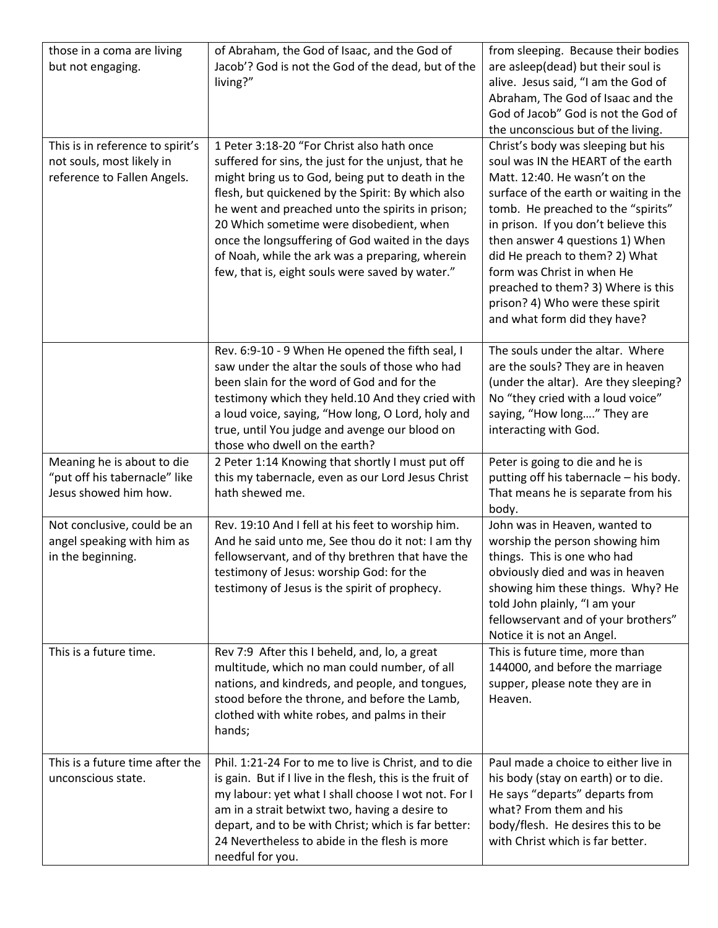| those in a coma are living<br>but not engaging.                                              | of Abraham, the God of Isaac, and the God of<br>Jacob'? God is not the God of the dead, but of the<br>living?"                                                                                                                                                                                                                                                                                                                                                       | from sleeping. Because their bodies<br>are asleep(dead) but their soul is<br>alive. Jesus said, "I am the God of<br>Abraham, The God of Isaac and the<br>God of Jacob" God is not the God of<br>the unconscious but of the living.                                                                                                                                                                                                             |
|----------------------------------------------------------------------------------------------|----------------------------------------------------------------------------------------------------------------------------------------------------------------------------------------------------------------------------------------------------------------------------------------------------------------------------------------------------------------------------------------------------------------------------------------------------------------------|------------------------------------------------------------------------------------------------------------------------------------------------------------------------------------------------------------------------------------------------------------------------------------------------------------------------------------------------------------------------------------------------------------------------------------------------|
| This is in reference to spirit's<br>not souls, most likely in<br>reference to Fallen Angels. | 1 Peter 3:18-20 "For Christ also hath once<br>suffered for sins, the just for the unjust, that he<br>might bring us to God, being put to death in the<br>flesh, but quickened by the Spirit: By which also<br>he went and preached unto the spirits in prison;<br>20 Which sometime were disobedient, when<br>once the longsuffering of God waited in the days<br>of Noah, while the ark was a preparing, wherein<br>few, that is, eight souls were saved by water." | Christ's body was sleeping but his<br>soul was IN the HEART of the earth<br>Matt. 12:40. He wasn't on the<br>surface of the earth or waiting in the<br>tomb. He preached to the "spirits"<br>in prison. If you don't believe this<br>then answer 4 questions 1) When<br>did He preach to them? 2) What<br>form was Christ in when He<br>preached to them? 3) Where is this<br>prison? 4) Who were these spirit<br>and what form did they have? |
|                                                                                              | Rev. 6:9-10 - 9 When He opened the fifth seal, I<br>saw under the altar the souls of those who had<br>been slain for the word of God and for the<br>testimony which they held.10 And they cried with<br>a loud voice, saying, "How long, O Lord, holy and<br>true, until You judge and avenge our blood on<br>those who dwell on the earth?                                                                                                                          | The souls under the altar. Where<br>are the souls? They are in heaven<br>(under the altar). Are they sleeping?<br>No "they cried with a loud voice"<br>saying, "How long" They are<br>interacting with God.                                                                                                                                                                                                                                    |
| Meaning he is about to die<br>"put off his tabernacle" like<br>Jesus showed him how.         | 2 Peter 1:14 Knowing that shortly I must put off<br>this my tabernacle, even as our Lord Jesus Christ<br>hath shewed me.                                                                                                                                                                                                                                                                                                                                             | Peter is going to die and he is<br>putting off his tabernacle - his body.<br>That means he is separate from his<br>body.                                                                                                                                                                                                                                                                                                                       |
| Not conclusive, could be an<br>angel speaking with him as<br>in the beginning.               | Rev. 19:10 And I fell at his feet to worship him.<br>And he said unto me, See thou do it not: I am thy<br>fellowservant, and of thy brethren that have the<br>testimony of Jesus: worship God: for the<br>testimony of Jesus is the spirit of prophecy.                                                                                                                                                                                                              | John was in Heaven, wanted to<br>worship the person showing him<br>things. This is one who had<br>obviously died and was in heaven<br>showing him these things. Why? He<br>told John plainly, "I am your<br>fellowservant and of your brothers"<br>Notice it is not an Angel.                                                                                                                                                                  |
| This is a future time.                                                                       | Rev 7:9 After this I beheld, and, lo, a great<br>multitude, which no man could number, of all                                                                                                                                                                                                                                                                                                                                                                        | This is future time, more than<br>144000, and before the marriage                                                                                                                                                                                                                                                                                                                                                                              |
|                                                                                              | nations, and kindreds, and people, and tongues,<br>stood before the throne, and before the Lamb,<br>clothed with white robes, and palms in their<br>hands;                                                                                                                                                                                                                                                                                                           | supper, please note they are in<br>Heaven.                                                                                                                                                                                                                                                                                                                                                                                                     |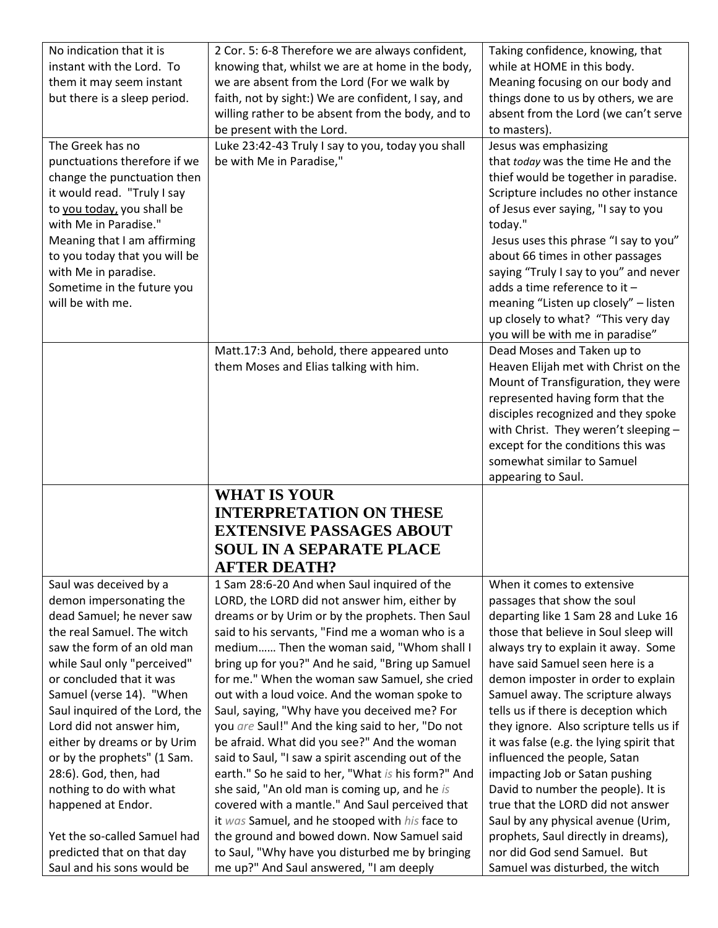| No indication that it is                                 | 2 Cor. 5: 6-8 Therefore we are always confident,                                           | Taking confidence, knowing, that                                |
|----------------------------------------------------------|--------------------------------------------------------------------------------------------|-----------------------------------------------------------------|
| instant with the Lord. To                                | knowing that, whilst we are at home in the body,                                           | while at HOME in this body.                                     |
| them it may seem instant                                 | we are absent from the Lord (For we walk by                                                | Meaning focusing on our body and                                |
| but there is a sleep period.                             | faith, not by sight:) We are confident, I say, and                                         | things done to us by others, we are                             |
|                                                          | willing rather to be absent from the body, and to                                          | absent from the Lord (we can't serve                            |
|                                                          | be present with the Lord.                                                                  | to masters).                                                    |
| The Greek has no                                         | Luke 23:42-43 Truly I say to you, today you shall                                          | Jesus was emphasizing                                           |
| punctuations therefore if we                             | be with Me in Paradise,"                                                                   | that today was the time He and the                              |
| change the punctuation then                              |                                                                                            | thief would be together in paradise.                            |
| it would read. "Truly I say                              |                                                                                            | Scripture includes no other instance                            |
| to you today, you shall be                               |                                                                                            | of Jesus ever saying, "I say to you                             |
| with Me in Paradise."                                    |                                                                                            | today."                                                         |
| Meaning that I am affirming                              |                                                                                            | Jesus uses this phrase "I say to you"                           |
| to you today that you will be                            |                                                                                            | about 66 times in other passages                                |
| with Me in paradise.                                     |                                                                                            | saying "Truly I say to you" and never                           |
| Sometime in the future you                               |                                                                                            | adds a time reference to it -                                   |
| will be with me.                                         |                                                                                            | meaning "Listen up closely" - listen                            |
|                                                          |                                                                                            | up closely to what? "This very day                              |
|                                                          |                                                                                            | you will be with me in paradise"                                |
|                                                          | Matt.17:3 And, behold, there appeared unto                                                 | Dead Moses and Taken up to                                      |
|                                                          | them Moses and Elias talking with him.                                                     | Heaven Elijah met with Christ on the                            |
|                                                          |                                                                                            | Mount of Transfiguration, they were                             |
|                                                          |                                                                                            | represented having form that the                                |
|                                                          |                                                                                            | disciples recognized and they spoke                             |
|                                                          |                                                                                            | with Christ. They weren't sleeping -                            |
|                                                          |                                                                                            | except for the conditions this was                              |
|                                                          |                                                                                            | somewhat similar to Samuel                                      |
|                                                          |                                                                                            | appearing to Saul.                                              |
|                                                          | <b>WHAT IS YOUR</b>                                                                        |                                                                 |
|                                                          | <b>INTERPRETATION ON THESE</b>                                                             |                                                                 |
|                                                          |                                                                                            |                                                                 |
|                                                          | <b>EXTENSIVE PASSAGES ABOUT</b>                                                            |                                                                 |
|                                                          | <b>SOUL IN A SEPARATE PLACE</b>                                                            |                                                                 |
|                                                          | <b>AFTER DEATH?</b>                                                                        |                                                                 |
| Saul was deceived by a                                   | 1 Sam 28:6-20 And when Saul inquired of the                                                | When it comes to extensive                                      |
| demon impersonating the                                  | LORD, the LORD did not answer him, either by                                               | passages that show the soul                                     |
| dead Samuel; he never saw                                | dreams or by Urim or by the prophets. Then Saul                                            | departing like 1 Sam 28 and Luke 16                             |
| the real Samuel. The witch                               | said to his servants, "Find me a woman who is a                                            | those that believe in Soul sleep will                           |
| saw the form of an old man                               | medium Then the woman said, "Whom shall I                                                  | always try to explain it away. Some                             |
| while Saul only "perceived"                              | bring up for you?" And he said, "Bring up Samuel                                           | have said Samuel seen here is a                                 |
| or concluded that it was                                 | for me." When the woman saw Samuel, she cried                                              | demon imposter in order to explain                              |
| Samuel (verse 14). "When                                 | out with a loud voice. And the woman spoke to                                              | Samuel away. The scripture always                               |
| Saul inquired of the Lord, the                           | Saul, saying, "Why have you deceived me? For                                               | tells us if there is deception which                            |
| Lord did not answer him,                                 | you are Saul!" And the king said to her, "Do not                                           | they ignore. Also scripture tells us if                         |
| either by dreams or by Urim                              | be afraid. What did you see?" And the woman                                                | it was false (e.g. the lying spirit that                        |
| or by the prophets" (1 Sam.                              | said to Saul, "I saw a spirit ascending out of the                                         | influenced the people, Satan                                    |
| 28:6). God, then, had                                    | earth." So he said to her, "What is his form?" And                                         | impacting Job or Satan pushing                                  |
| nothing to do with what                                  | she said, "An old man is coming up, and he is                                              | David to number the people). It is                              |
| happened at Endor.                                       | covered with a mantle." And Saul perceived that                                            | true that the LORD did not answer                               |
|                                                          | it was Samuel, and he stooped with his face to                                             | Saul by any physical avenue (Urim,                              |
| Yet the so-called Samuel had                             | the ground and bowed down. Now Samuel said                                                 | prophets, Saul directly in dreams),                             |
| predicted that on that day<br>Saul and his sons would be | to Saul, "Why have you disturbed me by bringing<br>me up?" And Saul answered, "I am deeply | nor did God send Samuel. But<br>Samuel was disturbed, the witch |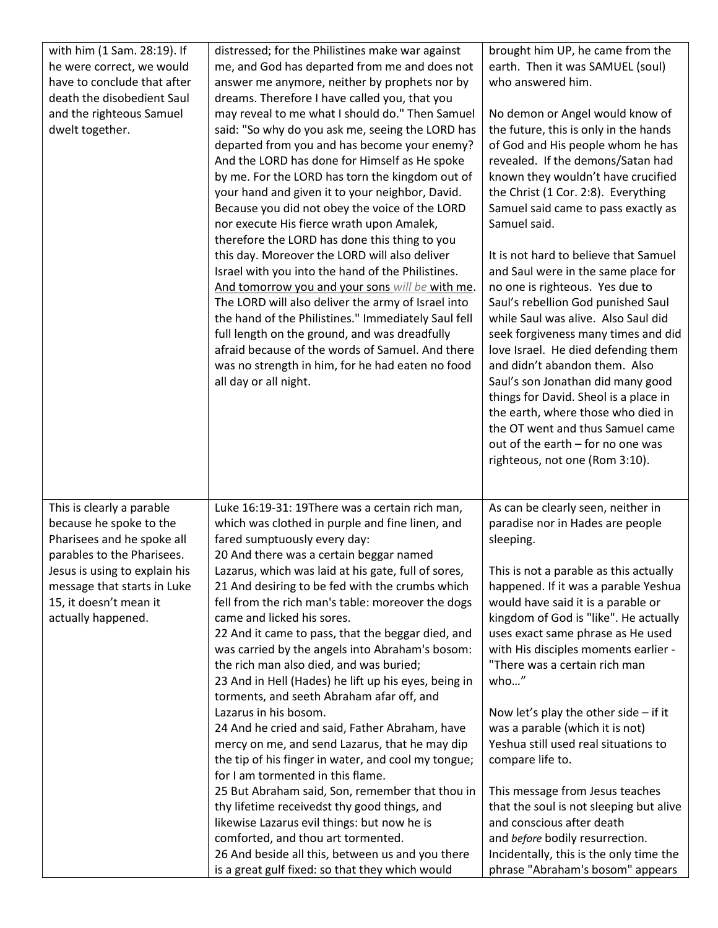| with him (1 Sam. 28:19). If<br>he were correct, we would<br>have to conclude that after<br>death the disobedient Saul<br>and the righteous Samuel<br>dwelt together.                                                             | distressed; for the Philistines make war against<br>me, and God has departed from me and does not<br>answer me anymore, neither by prophets nor by<br>dreams. Therefore I have called you, that you<br>may reveal to me what I should do." Then Samuel<br>said: "So why do you ask me, seeing the LORD has<br>departed from you and has become your enemy?<br>And the LORD has done for Himself as He spoke<br>by me. For the LORD has torn the kingdom out of<br>your hand and given it to your neighbor, David.<br>Because you did not obey the voice of the LORD<br>nor execute His fierce wrath upon Amalek,<br>therefore the LORD has done this thing to you<br>this day. Moreover the LORD will also deliver<br>Israel with you into the hand of the Philistines.<br>And tomorrow you and your sons will be with me.<br>The LORD will also deliver the army of Israel into<br>the hand of the Philistines." Immediately Saul fell<br>full length on the ground, and was dreadfully<br>afraid because of the words of Samuel. And there<br>was no strength in him, for he had eaten no food<br>all day or all night.                                 | brought him UP, he came from the<br>earth. Then it was SAMUEL (soul)<br>who answered him.<br>No demon or Angel would know of<br>the future, this is only in the hands<br>of God and His people whom he has<br>revealed. If the demons/Satan had<br>known they wouldn't have crucified<br>the Christ (1 Cor. 2:8). Everything<br>Samuel said came to pass exactly as<br>Samuel said.<br>It is not hard to believe that Samuel<br>and Saul were in the same place for<br>no one is righteous. Yes due to<br>Saul's rebellion God punished Saul<br>while Saul was alive. Also Saul did<br>seek forgiveness many times and did<br>love Israel. He died defending them<br>and didn't abandon them. Also<br>Saul's son Jonathan did many good<br>things for David. Sheol is a place in<br>the earth, where those who died in<br>the OT went and thus Samuel came<br>out of the earth - for no one was<br>righteous, not one (Rom 3:10). |
|----------------------------------------------------------------------------------------------------------------------------------------------------------------------------------------------------------------------------------|-----------------------------------------------------------------------------------------------------------------------------------------------------------------------------------------------------------------------------------------------------------------------------------------------------------------------------------------------------------------------------------------------------------------------------------------------------------------------------------------------------------------------------------------------------------------------------------------------------------------------------------------------------------------------------------------------------------------------------------------------------------------------------------------------------------------------------------------------------------------------------------------------------------------------------------------------------------------------------------------------------------------------------------------------------------------------------------------------------------------------------------------------------------|-----------------------------------------------------------------------------------------------------------------------------------------------------------------------------------------------------------------------------------------------------------------------------------------------------------------------------------------------------------------------------------------------------------------------------------------------------------------------------------------------------------------------------------------------------------------------------------------------------------------------------------------------------------------------------------------------------------------------------------------------------------------------------------------------------------------------------------------------------------------------------------------------------------------------------------|
| This is clearly a parable<br>because he spoke to the<br>Pharisees and he spoke all<br>parables to the Pharisees.<br>Jesus is using to explain his<br>message that starts in Luke<br>15, it doesn't mean it<br>actually happened. | Luke 16:19-31: 19There was a certain rich man,<br>which was clothed in purple and fine linen, and<br>fared sumptuously every day:<br>20 And there was a certain beggar named<br>Lazarus, which was laid at his gate, full of sores,<br>21 And desiring to be fed with the crumbs which<br>fell from the rich man's table: moreover the dogs<br>came and licked his sores.<br>22 And it came to pass, that the beggar died, and<br>was carried by the angels into Abraham's bosom:<br>the rich man also died, and was buried;<br>23 And in Hell (Hades) he lift up his eyes, being in<br>torments, and seeth Abraham afar off, and<br>Lazarus in his bosom.<br>24 And he cried and said, Father Abraham, have<br>mercy on me, and send Lazarus, that he may dip<br>the tip of his finger in water, and cool my tongue;<br>for I am tormented in this flame.<br>25 But Abraham said, Son, remember that thou in<br>thy lifetime receivedst thy good things, and<br>likewise Lazarus evil things: but now he is<br>comforted, and thou art tormented.<br>26 And beside all this, between us and you there<br>is a great gulf fixed: so that they which would | As can be clearly seen, neither in<br>paradise nor in Hades are people<br>sleeping.<br>This is not a parable as this actually<br>happened. If it was a parable Yeshua<br>would have said it is a parable or<br>kingdom of God is "like". He actually<br>uses exact same phrase as He used<br>with His disciples moments earlier -<br>"There was a certain rich man<br>who"<br>Now let's play the other side $-$ if it<br>was a parable (which it is not)<br>Yeshua still used real situations to<br>compare life to.<br>This message from Jesus teaches<br>that the soul is not sleeping but alive<br>and conscious after death<br>and before bodily resurrection.<br>Incidentally, this is the only time the<br>phrase "Abraham's bosom" appears                                                                                                                                                                                 |